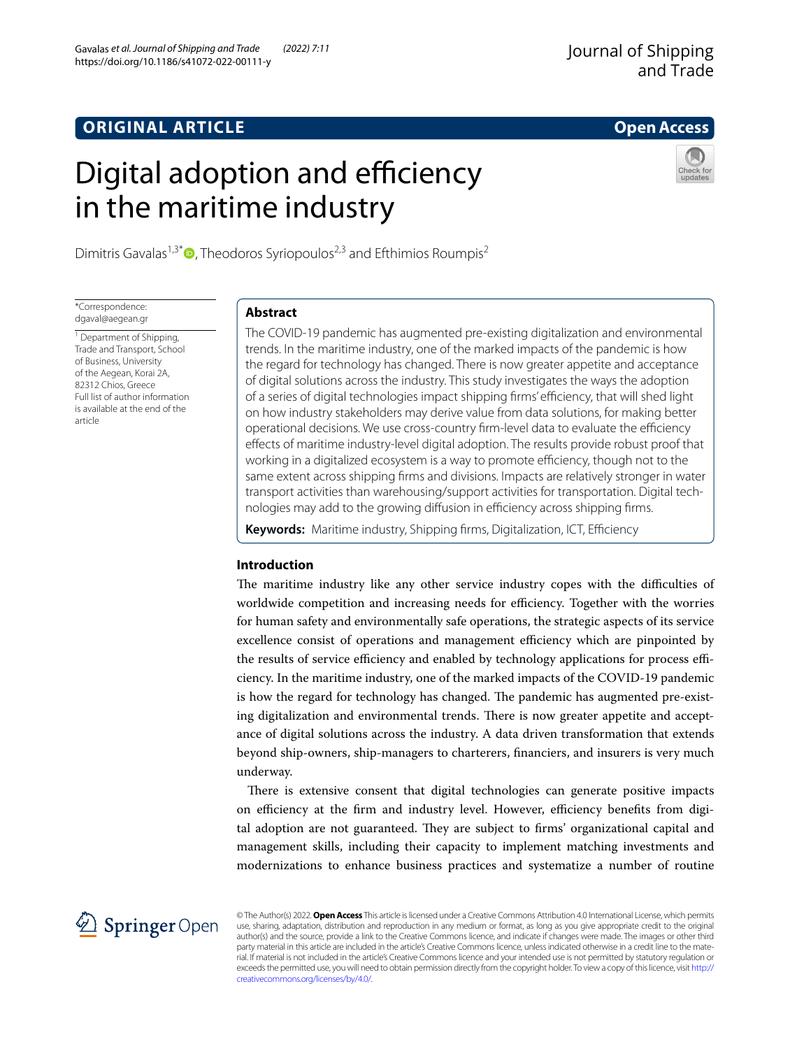# **ORIGINAL ARTICLE**

# Digital adoption and efficiency in the maritime industry

Dimitris Gavalas<sup>1,3[\\*](http://orcid.org/0000-0002-1487-0133)</sup> $\bullet$ , Theodoros Syriopoulos<sup>2,3</sup> and Efthimios Roumpis<sup>2</sup>

\*Correspondence: dgaval@aegean.gr

<sup>1</sup> Department of Shipping, Trade and Transport, School of Business, University of the Aegean, Korai 2A, 82312 Chios, Greece Full list of author information is available at the end of the article

# **Abstract**

The COVID-19 pandemic has augmented pre-existing digitalization and environmental trends. In the maritime industry, one of the marked impacts of the pandemic is how the regard for technology has changed. There is now greater appetite and acceptance of digital solutions across the industry. This study investigates the ways the adoption of a series of digital technologies impact shipping firms' efficiency, that will shed light on how industry stakeholders may derive value from data solutions, for making better operational decisions. We use cross-country firm-level data to evaluate the efficiency efects of maritime industry-level digital adoption. The results provide robust proof that working in a digitalized ecosystem is a way to promote efficiency, though not to the same extent across shipping frms and divisions. Impacts are relatively stronger in water transport activities than warehousing/support activities for transportation. Digital technologies may add to the growing diffusion in efficiency across shipping firms.

Keywords: Maritime industry, Shipping firms, Digitalization, ICT, Efficiency

# **Introduction**

The maritime industry like any other service industry copes with the difficulties of worldwide competition and increasing needs for efficiency. Together with the worries for human safety and environmentally safe operations, the strategic aspects of its service excellence consist of operations and management efficiency which are pinpointed by the results of service efficiency and enabled by technology applications for process efficiency. In the maritime industry, one of the marked impacts of the COVID-19 pandemic is how the regard for technology has changed. The pandemic has augmented pre-existing digitalization and environmental trends. There is now greater appetite and acceptance of digital solutions across the industry. A data driven transformation that extends beyond ship-owners, ship-managers to charterers, fnanciers, and insurers is very much underway.

There is extensive consent that digital technologies can generate positive impacts on efficiency at the firm and industry level. However, efficiency benefits from digital adoption are not guaranteed. They are subject to firms' organizational capital and management skills, including their capacity to implement matching investments and modernizations to enhance business practices and systematize a number of routine

© The Author(s) 2022. **Open Access** This article is licensed under a Creative Commons Attribution 4.0 International License, which permits use, sharing, adaptation, distribution and reproduction in any medium or format, as long as you give appropriate credit to the original author(s) and the source, provide a link to the Creative Commons licence, and indicate if changes were made. The images or other third party material in this article are included in the article's Creative Commons licence, unless indicated otherwise in a credit line to the material. If material is not included in the article's Creative Commons licence and your intended use is not permitted by statutory regulation or exceeds the permitted use, you will need to obtain permission directly from the copyright holder. To view a copy of this licence, visit [http://](http://creativecommons.org/licenses/by/4.0/) [creativecommons.org/licenses/by/4.0/.](http://creativecommons.org/licenses/by/4.0/)



**Open Access**

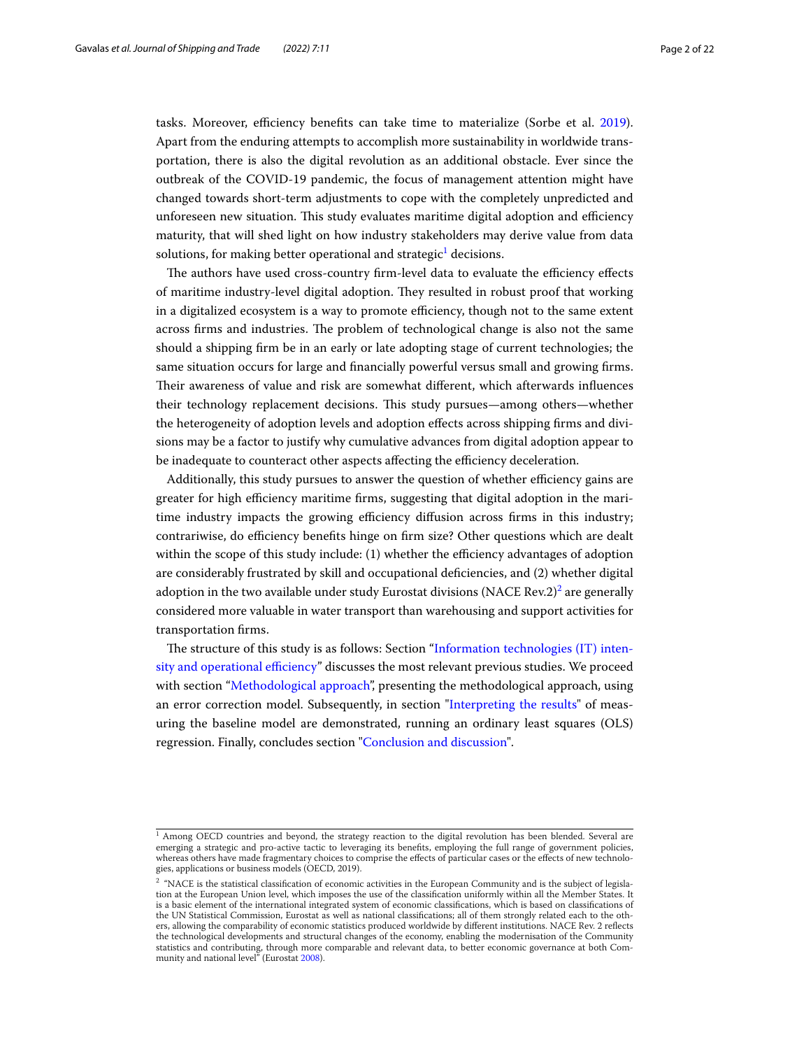tasks. Moreover, efficiency benefits can take time to materialize (Sorbe et al. [2019](#page-21-0)). Apart from the enduring attempts to accomplish more sustainability in worldwide transportation, there is also the digital revolution as an additional obstacle. Ever since the outbreak of the COVID-19 pandemic, the focus of management attention might have changed towards short-term adjustments to cope with the completely unpredicted and unforeseen new situation. This study evaluates maritime digital adoption and efficiency maturity, that will shed light on how industry stakeholders may derive value from data solutions, for making better operational and strategic $^{\rm 1}$  decisions.

The authors have used cross-country firm-level data to evaluate the efficiency effects of maritime industry-level digital adoption. They resulted in robust proof that working in a digitalized ecosystem is a way to promote efficiency, though not to the same extent across firms and industries. The problem of technological change is also not the same should a shipping frm be in an early or late adopting stage of current technologies; the same situation occurs for large and fnancially powerful versus small and growing frms. Their awareness of value and risk are somewhat different, which afterwards influences their technology replacement decisions. Tis study pursues—among others—whether the heterogeneity of adoption levels and adoption efects across shipping frms and divisions may be a factor to justify why cumulative advances from digital adoption appear to be inadequate to counteract other aspects affecting the efficiency deceleration.

Additionally, this study pursues to answer the question of whether efficiency gains are greater for high efficiency maritime firms, suggesting that digital adoption in the maritime industry impacts the growing efficiency diffusion across firms in this industry; contrariwise, do efficiency benefits hinge on firm size? Other questions which are dealt within the scope of this study include: (1) whether the efficiency advantages of adoption are considerably frustrated by skill and occupational defciencies, and (2) whether digital adoption in the two available under study Eurostat divisions (NACE Rev.2) $^2$  are generally considered more valuable in water transport than warehousing and support activities for transportation frms.

The structure of this study is as follows: Section ["Information technologies \(IT\) inten](#page-2-0)sity and operational efficiency" discusses the most relevant previous studies. We proceed with section "[Methodological approach"](#page-4-0), presenting the methodological approach, using an error correction model. Subsequently, in section "[Interpreting the results"](#page-8-0) of measuring the baseline model are demonstrated, running an ordinary least squares (OLS) regression. Finally, concludes section "[Conclusion and discussion](#page-17-0)".

<span id="page-1-0"></span> $1$  Among OECD countries and beyond, the strategy reaction to the digital revolution has been blended. Several are emerging a strategic and pro-active tactic to leveraging its benefts, employing the full range of government policies, whereas others have made fragmentary choices to comprise the effects of particular cases or the effects of new technologies, applications or business models (OECD, 2019).

<span id="page-1-1"></span> $2$  "NACE is the statistical classification of economic activities in the European Community and is the subject of legislation at the European Union level, which imposes the use of the classifcation uniformly within all the Member States. It is a basic element of the international integrated system of economic classifcations, which is based on classifcations of the UN Statistical Commission, Eurostat as well as national classifcations; all of them strongly related each to the others, allowing the comparability of economic statistics produced worldwide by diferent institutions. NACE Rev. 2 refects the technological developments and structural changes of the economy, enabling the modernisation of the Community statistics and contributing, through more comparable and relevant data, to better economic governance at both Com-munity and national level" (Eurostat [2008](#page-20-0)).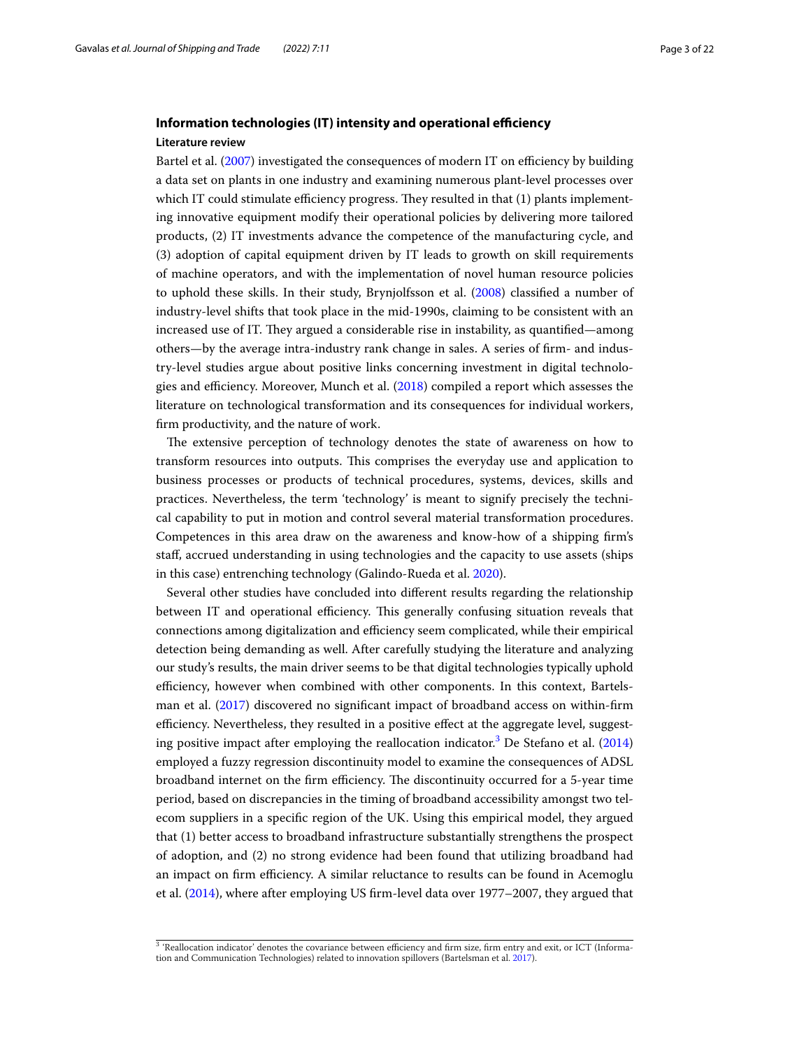# <span id="page-2-0"></span>**Information technologies (IT) intensity and operational efficiency Literature review**

Bartel et al. [\(2007](#page-19-0)) investigated the consequences of modern IT on efficiency by building a data set on plants in one industry and examining numerous plant-level processes over which IT could stimulate efficiency progress. They resulted in that  $(1)$  plants implementing innovative equipment modify their operational policies by delivering more tailored products, (2) IT investments advance the competence of the manufacturing cycle, and (3) adoption of capital equipment driven by IT leads to growth on skill requirements of machine operators, and with the implementation of novel human resource policies to uphold these skills. In their study, Brynjolfsson et al. [\(2008](#page-20-1)) classifed a number of industry-level shifts that took place in the mid-1990s, claiming to be consistent with an increased use of IT. They argued a considerable rise in instability, as quantified—among others—by the average intra-industry rank change in sales. A series of frm- and industry-level studies argue about positive links concerning investment in digital technologies and efficiency. Moreover, Munch et al.  $(2018)$  $(2018)$  $(2018)$  compiled a report which assesses the literature on technological transformation and its consequences for individual workers, frm productivity, and the nature of work.

The extensive perception of technology denotes the state of awareness on how to transform resources into outputs. Tis comprises the everyday use and application to business processes or products of technical procedures, systems, devices, skills and practices. Nevertheless, the term 'technology' is meant to signify precisely the technical capability to put in motion and control several material transformation procedures. Competences in this area draw on the awareness and know-how of a shipping frm's staf, accrued understanding in using technologies and the capacity to use assets (ships in this case) entrenching technology (Galindo-Rueda et al. [2020](#page-20-3)).

Several other studies have concluded into diferent results regarding the relationship between IT and operational efficiency. This generally confusing situation reveals that connections among digitalization and efficiency seem complicated, while their empirical detection being demanding as well. After carefully studying the literature and analyzing our study's results, the main driver seems to be that digital technologies typically uphold efficiency, however when combined with other components. In this context, Bartelsman et al. ([2017](#page-19-1)) discovered no signifcant impact of broadband access on within-frm efficiency. Nevertheless, they resulted in a positive effect at the aggregate level, suggesting positive impact after employing the reallocation indicator.[3](#page-2-1) De Stefano et al. ([2014](#page-20-4)) employed a fuzzy regression discontinuity model to examine the consequences of ADSL broadband internet on the firm efficiency. The discontinuity occurred for a 5-year time period, based on discrepancies in the timing of broadband accessibility amongst two telecom suppliers in a specifc region of the UK. Using this empirical model, they argued that (1) better access to broadband infrastructure substantially strengthens the prospect of adoption, and (2) no strong evidence had been found that utilizing broadband had an impact on firm efficiency. A similar reluctance to results can be found in Acemoglu et al. ([2014](#page-19-2)), where after employing US frm-level data over 1977–2007, they argued that

<span id="page-2-1"></span><sup>&</sup>lt;sup>3</sup> 'Reallocation indicator' denotes the covariance between efficiency and firm size, firm entry and exit, or ICT (Information and Communication Technologies) related to innovation spillovers (Bartelsman et al. [2017](#page-19-1)).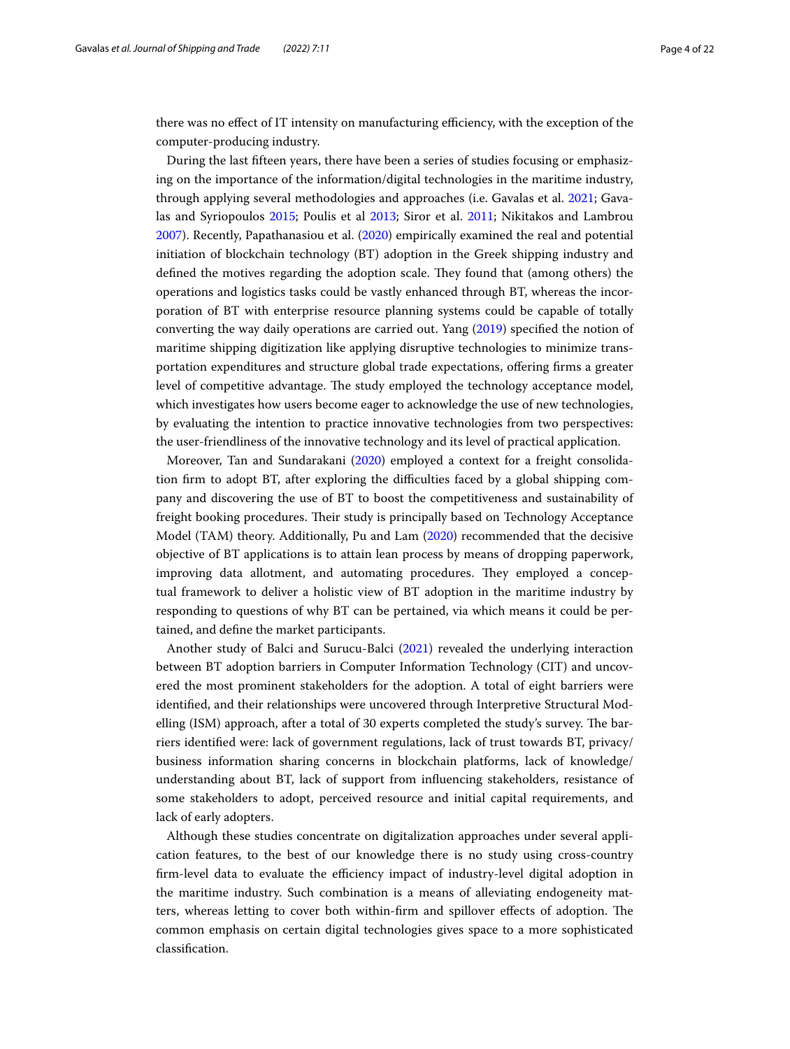there was no effect of IT intensity on manufacturing efficiency, with the exception of the computer-producing industry.

During the last ffteen years, there have been a series of studies focusing or emphasizing on the importance of the information/digital technologies in the maritime industry, through applying several methodologies and approaches (i.e. Gavalas et al. [2021](#page-20-5); Gavalas and Syriopoulos [2015;](#page-20-6) Poulis et al [2013;](#page-20-7) Siror et al. [2011](#page-20-8); Nikitakos and Lambrou [2007](#page-20-9)). Recently, Papathanasiou et al. [\(2020\)](#page-20-10) empirically examined the real and potential initiation of blockchain technology (BT) adoption in the Greek shipping industry and defined the motives regarding the adoption scale. They found that (among others) the operations and logistics tasks could be vastly enhanced through BT, whereas the incorporation of BT with enterprise resource planning systems could be capable of totally converting the way daily operations are carried out. Yang [\(2019\)](#page-20-11) specifed the notion of maritime shipping digitization like applying disruptive technologies to minimize transportation expenditures and structure global trade expectations, ofering frms a greater level of competitive advantage. The study employed the technology acceptance model, which investigates how users become eager to acknowledge the use of new technologies, by evaluating the intention to practice innovative technologies from two perspectives: the user-friendliness of the innovative technology and its level of practical application.

Moreover, Tan and Sundarakani ([2020](#page-20-12)) employed a context for a freight consolidation frm to adopt BT, after exploring the difculties faced by a global shipping company and discovering the use of BT to boost the competitiveness and sustainability of freight booking procedures. Their study is principally based on Technology Acceptance Model (TAM) theory. Additionally, Pu and Lam [\(2020\)](#page-21-1) recommended that the decisive objective of BT applications is to attain lean process by means of dropping paperwork, improving data allotment, and automating procedures. They employed a conceptual framework to deliver a holistic view of BT adoption in the maritime industry by responding to questions of why BT can be pertained, via which means it could be pertained, and defne the market participants.

Another study of Balci and Surucu-Balci ([2021](#page-19-3)) revealed the underlying interaction between BT adoption barriers in Computer Information Technology (CIT) and uncovered the most prominent stakeholders for the adoption. A total of eight barriers were identifed, and their relationships were uncovered through Interpretive Structural Modelling (ISM) approach, after a total of 30 experts completed the study's survey. The barriers identifed were: lack of government regulations, lack of trust towards BT, privacy/ business information sharing concerns in blockchain platforms, lack of knowledge/ understanding about BT, lack of support from infuencing stakeholders, resistance of some stakeholders to adopt, perceived resource and initial capital requirements, and lack of early adopters.

Although these studies concentrate on digitalization approaches under several application features, to the best of our knowledge there is no study using cross-country firm-level data to evaluate the efficiency impact of industry-level digital adoption in the maritime industry. Such combination is a means of alleviating endogeneity matters, whereas letting to cover both within-firm and spillover effects of adoption. The common emphasis on certain digital technologies gives space to a more sophisticated classifcation.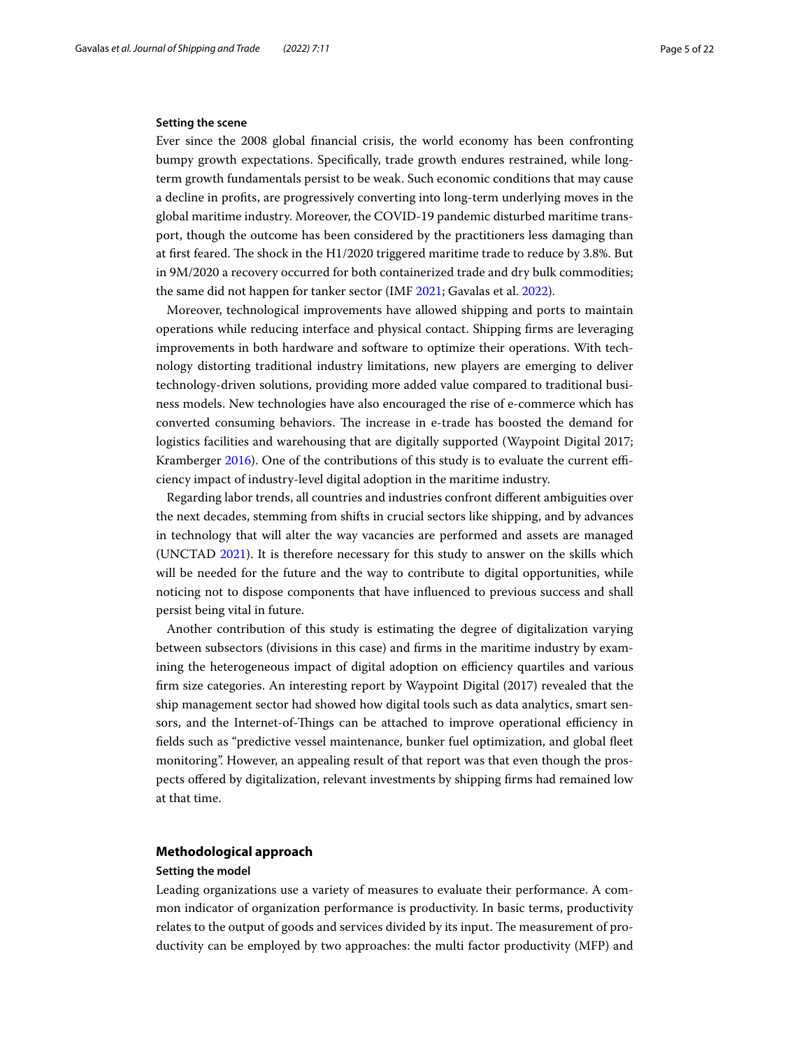# **Setting the scene**

Ever since the 2008 global fnancial crisis, the world economy has been confronting bumpy growth expectations. Specifcally, trade growth endures restrained, while longterm growth fundamentals persist to be weak. Such economic conditions that may cause a decline in profts, are progressively converting into long-term underlying moves in the global maritime industry. Moreover, the COVID-19 pandemic disturbed maritime transport, though the outcome has been considered by the practitioners less damaging than at first feared. The shock in the  $H1/2020$  triggered maritime trade to reduce by 3.8%. But in 9M/2020 a recovery occurred for both containerized trade and dry bulk commodities; the same did not happen for tanker sector (IMF [2021](#page-20-13); Gavalas et al. [2022](#page-19-4)).

Moreover, technological improvements have allowed shipping and ports to maintain operations while reducing interface and physical contact. Shipping frms are leveraging improvements in both hardware and software to optimize their operations. With technology distorting traditional industry limitations, new players are emerging to deliver technology-driven solutions, providing more added value compared to traditional business models. New technologies have also encouraged the rise of e-commerce which has converted consuming behaviors. The increase in e-trade has boosted the demand for logistics facilities and warehousing that are digitally supported (Waypoint Digital 2017; Kramberger [2016](#page-20-14)). One of the contributions of this study is to evaluate the current efficiency impact of industry-level digital adoption in the maritime industry.

Regarding labor trends, all countries and industries confront diferent ambiguities over the next decades, stemming from shifts in crucial sectors like shipping, and by advances in technology that will alter the way vacancies are performed and assets are managed (UNCTAD [2021\)](#page-20-15). It is therefore necessary for this study to answer on the skills which will be needed for the future and the way to contribute to digital opportunities, while noticing not to dispose components that have infuenced to previous success and shall persist being vital in future.

Another contribution of this study is estimating the degree of digitalization varying between subsectors (divisions in this case) and frms in the maritime industry by examining the heterogeneous impact of digital adoption on efficiency quartiles and various frm size categories. An interesting report by Waypoint Digital (2017) revealed that the ship management sector had showed how digital tools such as data analytics, smart sensors, and the Internet-of-Things can be attached to improve operational efficiency in felds such as "predictive vessel maintenance, bunker fuel optimization, and global feet monitoring". However, an appealing result of that report was that even though the prospects ofered by digitalization, relevant investments by shipping frms had remained low at that time.

# <span id="page-4-0"></span>**Methodological approach**

### **Setting the model**

Leading organizations use a variety of measures to evaluate their performance. A common indicator of organization performance is productivity. In basic terms, productivity relates to the output of goods and services divided by its input. The measurement of productivity can be employed by two approaches: the multi factor productivity (MFP) and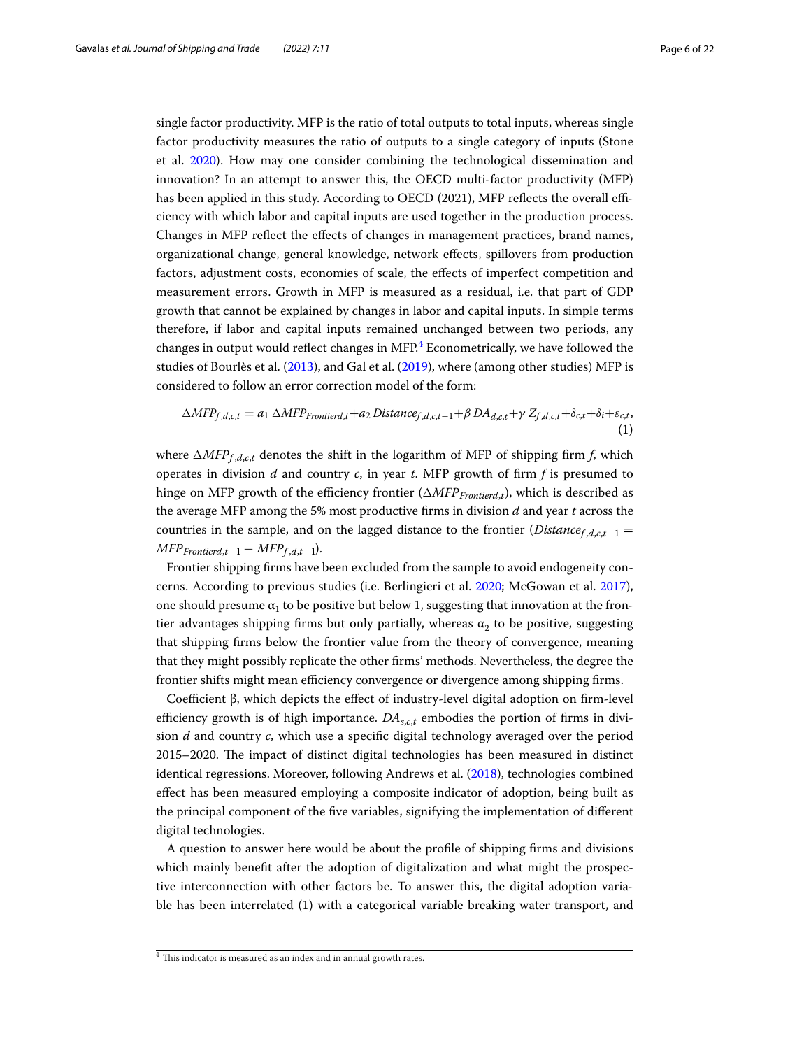single factor productivity. MFP is the ratio of total outputs to total inputs, whereas single factor productivity measures the ratio of outputs to a single category of inputs (Stone et al. [2020\)](#page-20-16). How may one consider combining the technological dissemination and innovation? In an attempt to answer this, the OECD multi-factor productivity (MFP) has been applied in this study. According to OECD (2021), MFP reflects the overall efficiency with which labor and capital inputs are used together in the production process. Changes in MFP refect the efects of changes in management practices, brand names, organizational change, general knowledge, network efects, spillovers from production factors, adjustment costs, economies of scale, the efects of imperfect competition and measurement errors. Growth in MFP is measured as a residual, i.e. that part of GDP growth that cannot be explained by changes in labor and capital inputs. In simple terms therefore, if labor and capital inputs remained unchanged between two periods, any changes in output would reflect changes in MFP.<sup>[4](#page-5-0)</sup> Econometrically, we have followed the studies of Bourlès et al. ([2013](#page-19-5)), and Gal et al. ([2019\)](#page-20-17), where (among other studies) MFP is considered to follow an error correction model of the form:

$$
\Delta MFP_{f,d,c,t} = a_1 \Delta MFP_{Frontierd,t} + a_2 \text{Distance}_{f,d,c,t-1} + \beta \text{DA}_{d,c,\bar{t}} + \gamma \text{Z}_{f,d,c,t} + \delta_{c,t} + \delta_{i} + \varepsilon_{c,t},
$$
\n(1)

where  $\Delta MFP_{f,d,c,t}$  denotes the shift in the logarithm of MFP of shipping firm *f*, which operates in division  $d$  and country  $c$ , in year  $t$ . MFP growth of firm  $f$  is presumed to hinge on MFP growth of the efficiency frontier ( $\triangle MFP_{Fronted,t}$ ), which is described as the average MFP among the 5% most productive frms in division *d* and year *t* across the countries in the sample, and on the lagged distance to the frontier (Distance<sub>f,d,c,t</sub>-1 =  $MFP_{Frontierd,t-1} - MFP_{f,d,t-1}$ .

Frontier shipping frms have been excluded from the sample to avoid endogeneity concerns. According to previous studies (i.e. Berlingieri et al. [2020](#page-20-18); McGowan et al. [2017](#page-20-19)), one should presume  $\alpha_1$  to be positive but below 1, suggesting that innovation at the frontier advantages shipping firms but only partially, whereas  $\alpha_2$  to be positive, suggesting that shipping frms below the frontier value from the theory of convergence, meaning that they might possibly replicate the other frms' methods. Nevertheless, the degree the frontier shifts might mean efficiency convergence or divergence among shipping firms.

Coefficient β, which depicts the effect of industry-level digital adoption on firm-level efficiency growth is of high importance.  $DA_{s,c,t}$  embodies the portion of firms in division *d* and country *c,* which use a specifc digital technology averaged over the period 2015–2020. The impact of distinct digital technologies has been measured in distinct identical regressions. Moreover, following Andrews et al. [\(2018\)](#page-20-20), technologies combined efect has been measured employing a composite indicator of adoption, being built as the principal component of the fve variables, signifying the implementation of diferent digital technologies.

A question to answer here would be about the profle of shipping frms and divisions which mainly beneft after the adoption of digitalization and what might the prospective interconnection with other factors be. To answer this, the digital adoption variable has been interrelated (1) with a categorical variable breaking water transport, and

<span id="page-5-0"></span> $4$  This indicator is measured as an index and in annual growth rates.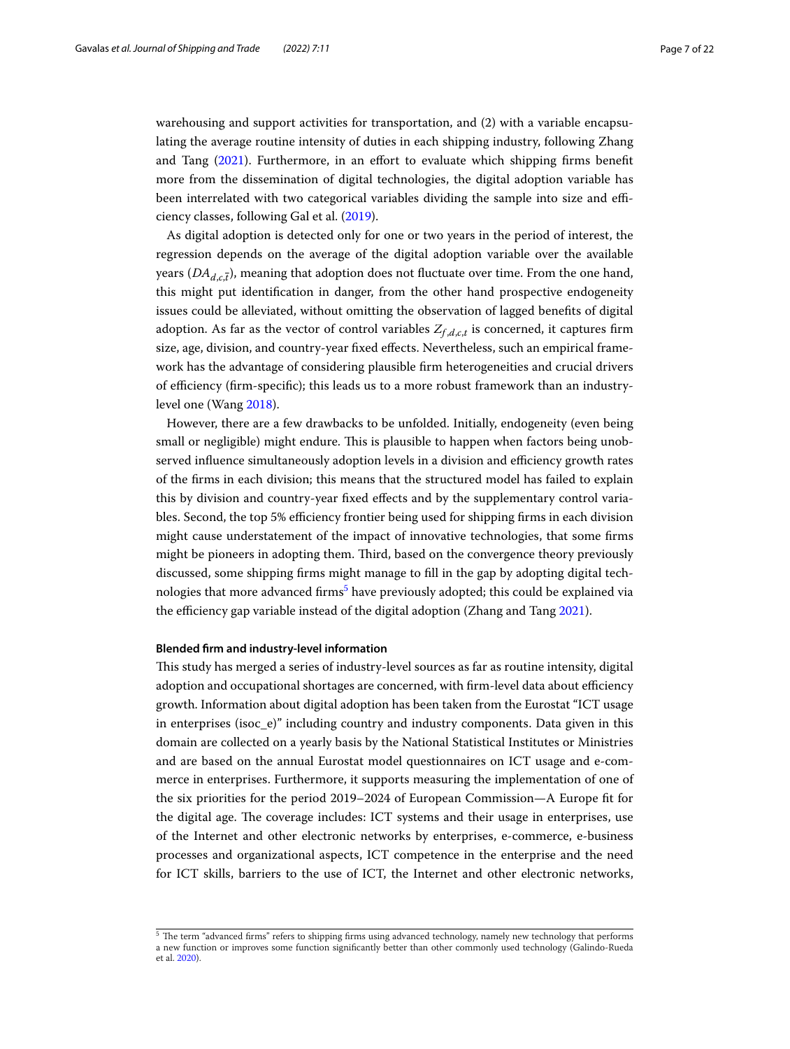warehousing and support activities for transportation, and (2) with a variable encapsulating the average routine intensity of duties in each shipping industry, following Zhang and Tang ([2021](#page-21-2)). Furthermore, in an effort to evaluate which shipping firms benefit more from the dissemination of digital technologies, the digital adoption variable has been interrelated with two categorical variables dividing the sample into size and efficiency classes, following Gal et al. [\(2019](#page-20-17)).

As digital adoption is detected only for one or two years in the period of interest, the regression depends on the average of the digital adoption variable over the available years  $(DA<sub>d<sub>c</sub><sub>i</sub>)</sub>$ , meaning that adoption does not fluctuate over time. From the one hand, this might put identifcation in danger, from the other hand prospective endogeneity issues could be alleviated, without omitting the observation of lagged benefts of digital adoption. As far as the vector of control variables  $Z_{f,d, c,t}$  is concerned, it captures firm size, age, division, and country-year fxed efects. Nevertheless, such an empirical framework has the advantage of considering plausible frm heterogeneities and crucial drivers of efficiency (firm-specific); this leads us to a more robust framework than an industrylevel one (Wang [2018](#page-21-3)).

However, there are a few drawbacks to be unfolded. Initially, endogeneity (even being small or negligible) might endure. This is plausible to happen when factors being unobserved influence simultaneously adoption levels in a division and efficiency growth rates of the frms in each division; this means that the structured model has failed to explain this by division and country-year fxed efects and by the supplementary control variables. Second, the top 5% efficiency frontier being used for shipping firms in each division might cause understatement of the impact of innovative technologies, that some frms might be pioneers in adopting them. Tird, based on the convergence theory previously discussed, some shipping frms might manage to fll in the gap by adopting digital technologies that more advanced firms<sup>5</sup> have previously adopted; this could be explained via the efficiency gap variable instead of the digital adoption (Zhang and Tang [2021](#page-21-2)).

### **Blended frm and industry‑level information**

Tis study has merged a series of industry-level sources as far as routine intensity, digital adoption and occupational shortages are concerned, with firm-level data about efficiency growth. Information about digital adoption has been taken from the Eurostat "ICT usage in enterprises (isoc\_e)" including country and industry components. Data given in this domain are collected on a yearly basis by the National Statistical Institutes or Ministries and are based on the annual Eurostat model questionnaires on ICT usage and e-commerce in enterprises. Furthermore, it supports measuring the implementation of one of the six priorities for the period 2019–2024 of European Commission—A Europe ft for the digital age. The coverage includes: ICT systems and their usage in enterprises, use of the Internet and other electronic networks by enterprises, e-commerce, e-business processes and organizational aspects, ICT competence in the enterprise and the need for ICT skills, barriers to the use of ICT, the Internet and other electronic networks,

<span id="page-6-0"></span><sup>&</sup>lt;sup>5</sup> The term "advanced firms" refers to shipping firms using advanced technology, namely new technology that performs a new function or improves some function signifcantly better than other commonly used technology (Galindo-Rueda et al. [2020\)](#page-20-3).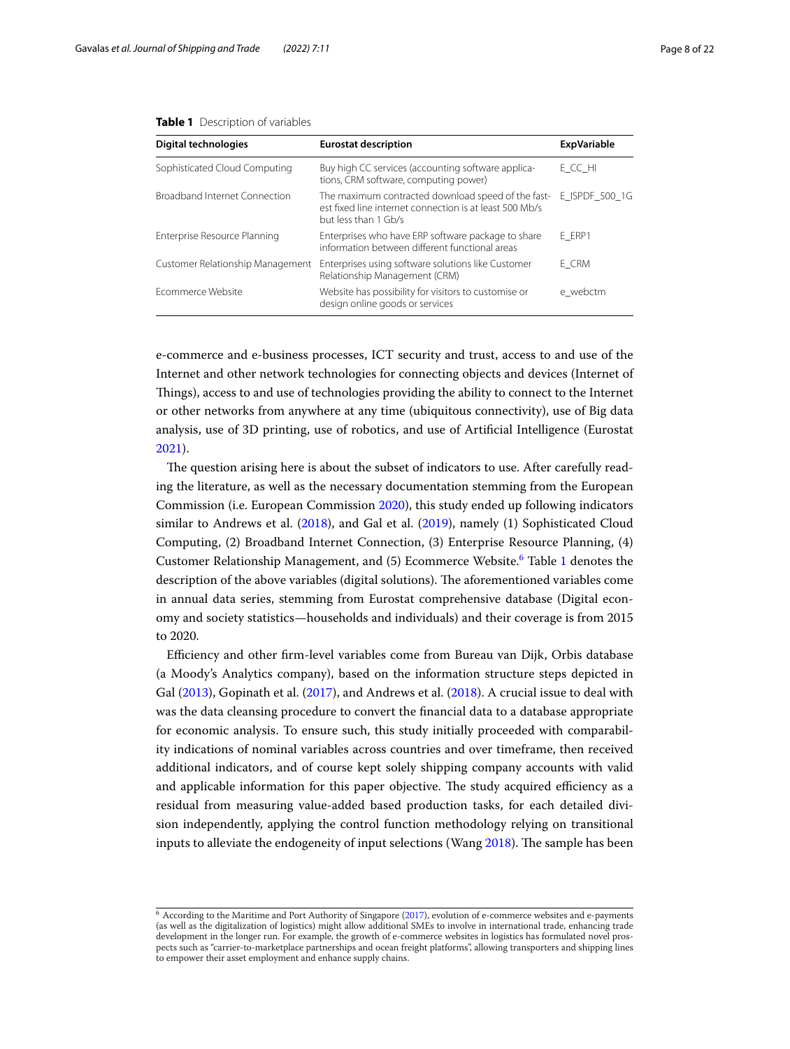| <b>Digital technologies</b>      | <b>Eurostat description</b>                                                                                                           | <b>ExpVariable</b> |
|----------------------------------|---------------------------------------------------------------------------------------------------------------------------------------|--------------------|
| Sophisticated Cloud Computing    | Buy high CC services (accounting software applica-<br>tions, CRM software, computing power)                                           | E CC HI            |
| Broadband Internet Connection    | The maximum contracted download speed of the fast-<br>est fixed line internet connection is at least 500 Mb/s<br>but less than 1 Gb/s | E ISPDF_500_1G     |
| Enterprise Resource Planning     | Enterprises who have ERP software package to share<br>information between different functional areas                                  | E ERP1             |
| Customer Relationship Management | Enterprises using software solutions like Customer<br>Relationship Management (CRM)                                                   | E CRM              |
| Frommerce Website                | Website has possibility for visitors to customise or<br>design online goods or services                                               | e webctm           |

#### <span id="page-7-1"></span>**Table 1** Description of variables

e-commerce and e-business processes, ICT security and trust, access to and use of the Internet and other network technologies for connecting objects and devices (Internet of Tings), access to and use of technologies providing the ability to connect to the Internet or other networks from anywhere at any time (ubiquitous connectivity), use of Big data analysis, use of 3D printing, use of robotics, and use of Artifcial Intelligence (Eurostat [2021](#page-20-21)).

The question arising here is about the subset of indicators to use. After carefully reading the literature, as well as the necessary documentation stemming from the European Commission (i.e. European Commission [2020](#page-20-22)), this study ended up following indicators similar to Andrews et al. [\(2018\)](#page-20-20), and Gal et al. [\(2019](#page-20-17)), namely (1) Sophisticated Cloud Computing, (2) Broadband Internet Connection, (3) Enterprise Resource Planning, (4) Customer Relationship Management, and (5) Ecommerce Website.<sup>[6](#page-7-0)</sup> Table [1](#page-7-1) denotes the description of the above variables (digital solutions). The aforementioned variables come in annual data series, stemming from Eurostat comprehensive database (Digital economy and society statistics—households and individuals) and their coverage is from 2015 to 2020.

Efciency and other frm-level variables come from Bureau van Dijk, Orbis database (a Moody's Analytics company), based on the information structure steps depicted in Gal ([2013](#page-20-23)), Gopinath et al. [\(2017\)](#page-20-24), and Andrews et al. [\(2018\)](#page-20-20). A crucial issue to deal with was the data cleansing procedure to convert the fnancial data to a database appropriate for economic analysis. To ensure such, this study initially proceeded with comparability indications of nominal variables across countries and over timeframe, then received additional indicators, and of course kept solely shipping company accounts with valid and applicable information for this paper objective. The study acquired efficiency as a residual from measuring value-added based production tasks, for each detailed division independently, applying the control function methodology relying on transitional inputs to alleviate the endogeneity of input selections (Wang  $2018$ ). The sample has been

<span id="page-7-0"></span><sup>6</sup> According to the Maritime and Port Authority of Singapore [\(2017\)](#page-20-25), evolution of e-commerce websites and e-payments (as well as the digitalization of logistics) might allow additional SMEs to involve in international trade, enhancing trade development in the longer run. For example, the growth of e-commerce websites in logistics has formulated novel prospects such as "carrier-to-marketplace partnerships and ocean freight platforms", allowing transporters and shipping lines to empower their asset employment and enhance supply chains.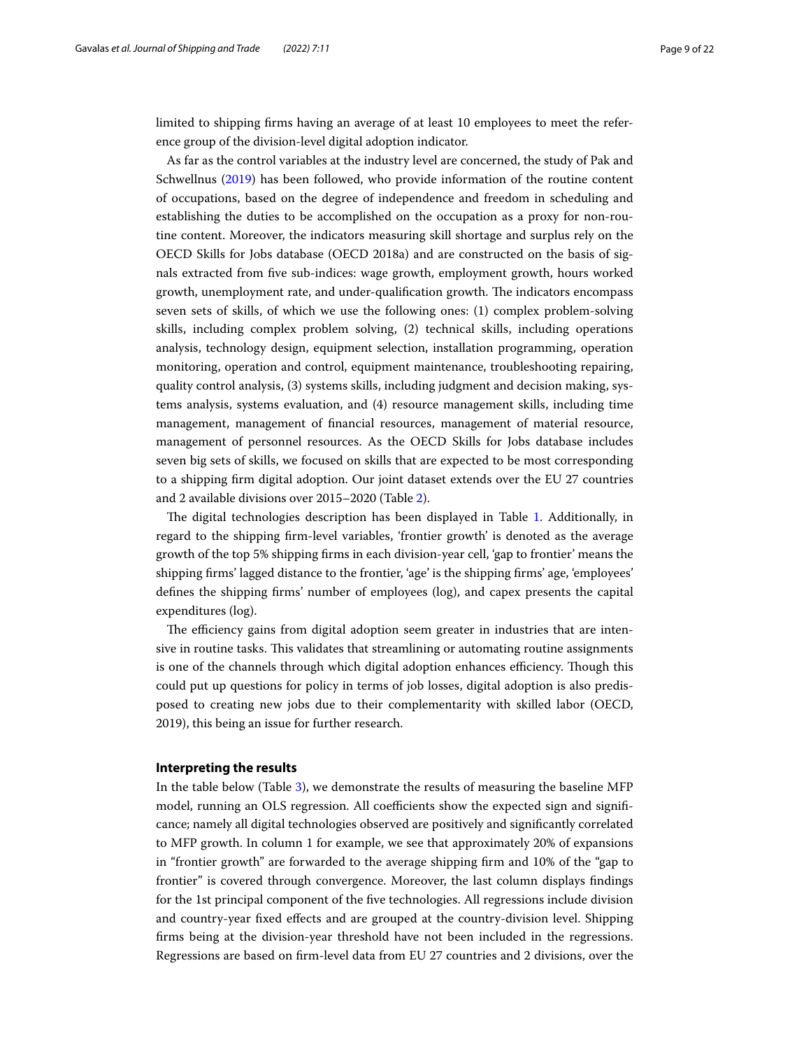limited to shipping frms having an average of at least 10 employees to meet the reference group of the division-level digital adoption indicator.

As far as the control variables at the industry level are concerned, the study of Pak and Schwellnus [\(2019\)](#page-21-4) has been followed, who provide information of the routine content of occupations, based on the degree of independence and freedom in scheduling and establishing the duties to be accomplished on the occupation as a proxy for non-routine content. Moreover, the indicators measuring skill shortage and surplus rely on the OECD Skills for Jobs database (OECD 2018a) and are constructed on the basis of signals extracted from fve sub-indices: wage growth, employment growth, hours worked growth, unemployment rate, and under-qualification growth. The indicators encompass seven sets of skills, of which we use the following ones: (1) complex problem-solving skills, including complex problem solving, (2) technical skills, including operations analysis, technology design, equipment selection, installation programming, operation monitoring, operation and control, equipment maintenance, troubleshooting repairing, quality control analysis, (3) systems skills, including judgment and decision making, systems analysis, systems evaluation, and (4) resource management skills, including time management, management of fnancial resources, management of material resource, management of personnel resources. As the OECD Skills for Jobs database includes seven big sets of skills, we focused on skills that are expected to be most corresponding to a shipping frm digital adoption. Our joint dataset extends over the EU 27 countries and 2 available divisions over 2015–2020 (Table [2\)](#page-9-0).

The digital technologies description has been displayed in Table [1](#page-7-1). Additionally, in regard to the shipping frm-level variables, 'frontier growth' is denoted as the average growth of the top 5% shipping frms in each division-year cell, 'gap to frontier' means the shipping frms' lagged distance to the frontier, 'age' is the shipping frms' age, 'employees' defnes the shipping frms' number of employees (log), and capex presents the capital expenditures (log).

The efficiency gains from digital adoption seem greater in industries that are intensive in routine tasks. This validates that streamlining or automating routine assignments is one of the channels through which digital adoption enhances efficiency. Though this could put up questions for policy in terms of job losses, digital adoption is also predisposed to creating new jobs due to their complementarity with skilled labor (OECD, 2019), this being an issue for further research.

# <span id="page-8-0"></span>**Interpreting the results**

In the table below (Table [3\)](#page-9-1), we demonstrate the results of measuring the baseline MFP model, running an OLS regression. All coefficients show the expected sign and significance; namely all digital technologies observed are positively and signifcantly correlated to MFP growth. In column 1 for example, we see that approximately 20% of expansions in "frontier growth" are forwarded to the average shipping frm and 10% of the "gap to frontier" is covered through convergence. Moreover, the last column displays fndings for the 1st principal component of the fve technologies. All regressions include division and country-year fxed efects and are grouped at the country-division level. Shipping frms being at the division-year threshold have not been included in the regressions. Regressions are based on frm-level data from EU 27 countries and 2 divisions, over the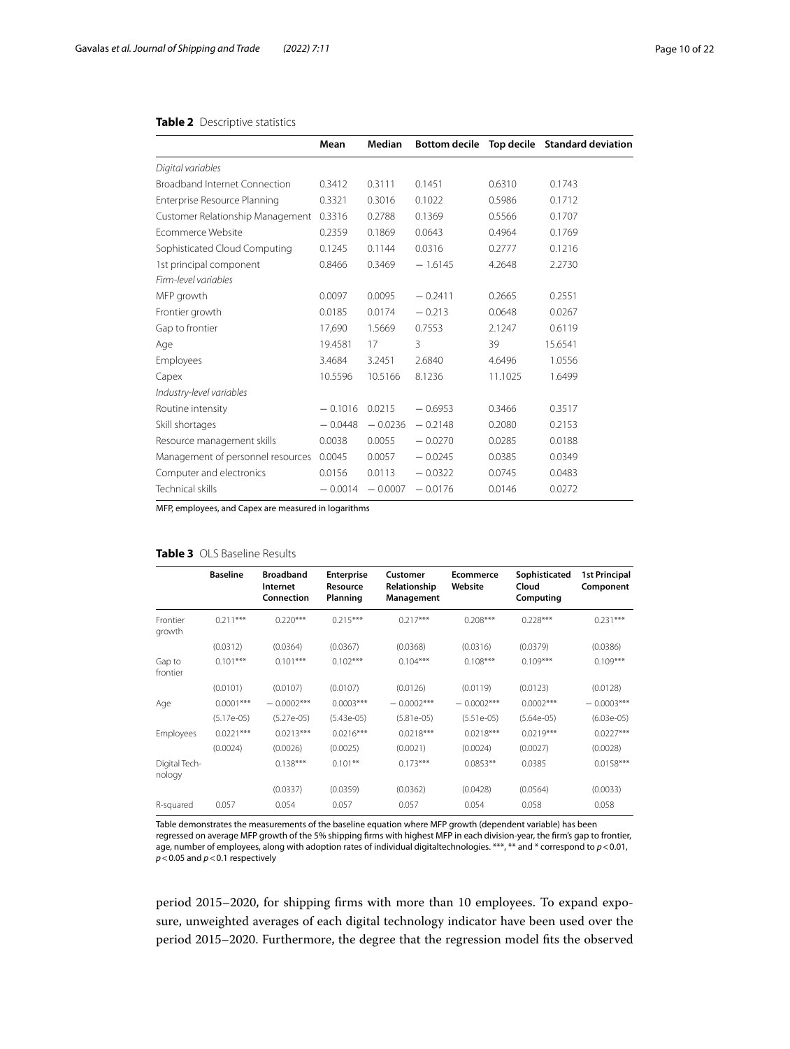# <span id="page-9-0"></span>**Table 2** Descriptive statistics

|                                   | Mean      | Median    |           |         | Bottom decile Top decile Standard deviation |
|-----------------------------------|-----------|-----------|-----------|---------|---------------------------------------------|
| Digital variables                 |           |           |           |         |                                             |
| Broadband Internet Connection     | 0.3412    | 0.3111    | 0.1451    | 0.6310  | 0.1743                                      |
| Enterprise Resource Planning      | 0.3321    | 0.3016    | 0.1022    | 0.5986  | 0.1712                                      |
| Customer Relationship Management  | 0.3316    | 0.2788    | 0.1369    | 0.5566  | 0.1707                                      |
| Fcommerce Website                 | 0.2359    | 0.1869    | 0.0643    | 0.4964  | 0.1769                                      |
| Sophisticated Cloud Computing     | 0.1245    | 0.1144    | 0.0316    | 0.2777  | 0.1216                                      |
| 1st principal component           | 0.8466    | 0.3469    | $-1.6145$ | 4.2648  | 2.2730                                      |
| Firm-level variables              |           |           |           |         |                                             |
| MFP growth                        | 0.0097    | 0.0095    | $-0.2411$ | 0.2665  | 0.2551                                      |
| Frontier growth                   | 0.0185    | 0.0174    | $-0.213$  | 0.0648  | 0.0267                                      |
| Gap to frontier                   | 17,690    | 1.5669    | 0.7553    | 2.1247  | 0.6119                                      |
| Age                               | 19.4581   | 17        | 3         | 39      | 15.6541                                     |
| Employees                         | 3.4684    | 3.2451    | 2.6840    | 4.6496  | 1.0556                                      |
| Capex                             | 10.5596   | 10.5166   | 8.1236    | 11.1025 | 1.6499                                      |
| Industry-level variables          |           |           |           |         |                                             |
| Routine intensity                 | $-0.1016$ | 0.0215    | $-0.6953$ | 0.3466  | 0.3517                                      |
| Skill shortages                   | $-0.0448$ | $-0.0236$ | $-0.2148$ | 0.2080  | 0.2153                                      |
| Resource management skills        | 0.0038    | 0.0055    | $-0.0270$ | 0.0285  | 0.0188                                      |
| Management of personnel resources | 0.0045    | 0.0057    | $-0.0245$ | 0.0385  | 0.0349                                      |
| Computer and electronics          | 0.0156    | 0.0113    | $-0.0322$ | 0.0745  | 0.0483                                      |
| Technical skills                  | $-0.0014$ | $-0.0007$ | $-0.0176$ | 0.0146  | 0.0272                                      |

MFP, employees, and Capex are measured in logarithms

# <span id="page-9-1"></span>**Table 3** OLS Baseline Results

|                         | <b>Baseline</b> | <b>Broadband</b><br>Internet<br>Connection | <b>Enterprise</b><br>Resource<br>Planning | Customer<br>Relationship<br>Management | <b>Ecommerce</b><br>Website | Sophisticated<br>Cloud<br>Computing | <b>1st Principal</b><br>Component |
|-------------------------|-----------------|--------------------------------------------|-------------------------------------------|----------------------------------------|-----------------------------|-------------------------------------|-----------------------------------|
| Frontier<br>growth      | $0.211***$      | $0.220***$                                 | $0.215***$                                | $0.217***$                             | $0.208***$                  | $0.228***$                          | $0.231***$                        |
|                         | (0.0312)        | (0.0364)                                   | (0.0367)                                  | (0.0368)                               | (0.0316)                    | (0.0379)                            | (0.0386)                          |
| Gap to<br>frontier      | $0.101***$      | $0.101***$                                 | $0.102***$                                | $0.104***$                             | $0.108***$                  | $0.109***$                          | $0.109***$                        |
|                         | (0.0101)        | (0.0107)                                   | (0.0107)                                  | (0.0126)                               | (0.0119)                    | (0.0123)                            | (0.0128)                          |
| Age                     | $0.0001***$     | $-0.0002***$                               | $0.0003***$                               | $-0.0002***$                           | $-0.0002***$                | $0.0002***$                         | $-0.0003***$                      |
|                         | $(5.17e-05)$    | $(5.27e-05)$                               | $(5.43e-05)$                              | $(5.81e-05)$                           | $(5.51e-05)$                | $(5.64e-05)$                        | $(6.03e-05)$                      |
| <b>Employees</b>        | $0.0221***$     | $0.0213***$                                | $0.0216***$                               | $0.0218***$                            | $0.0218***$                 | $0.0219***$                         | $0.0227***$                       |
|                         | (0.0024)        | (0.0026)                                   | (0.0025)                                  | (0.0021)                               | (0.0024)                    | (0.0027)                            | (0.0028)                          |
| Digital Tech-<br>nology |                 | $0.138***$                                 | $0.101**$                                 | $0.173***$                             | $0.0853**$                  | 0.0385                              | $0.0158***$                       |
|                         |                 | (0.0337)                                   | (0.0359)                                  | (0.0362)                               | (0.0428)                    | (0.0564)                            | (0.0033)                          |
| R-squared               | 0.057           | 0.054                                      | 0.057                                     | 0.057                                  | 0.054                       | 0.058                               | 0.058                             |

Table demonstrates the measurements of the baseline equation where MFP growth (dependent variable) has been regressed on average MFP growth of the 5% shipping frms with highest MFP in each division-year, the frm's gap to frontier, age, number of employees, along with adoption rates of individual digitaltechnologies. \*\*\*, \*\* and \* correspond to *p*<0.01, *p*<0.05 and *p*<0.1 respectively

period 2015–2020, for shipping frms with more than 10 employees. To expand exposure, unweighted averages of each digital technology indicator have been used over the period 2015–2020. Furthermore, the degree that the regression model fts the observed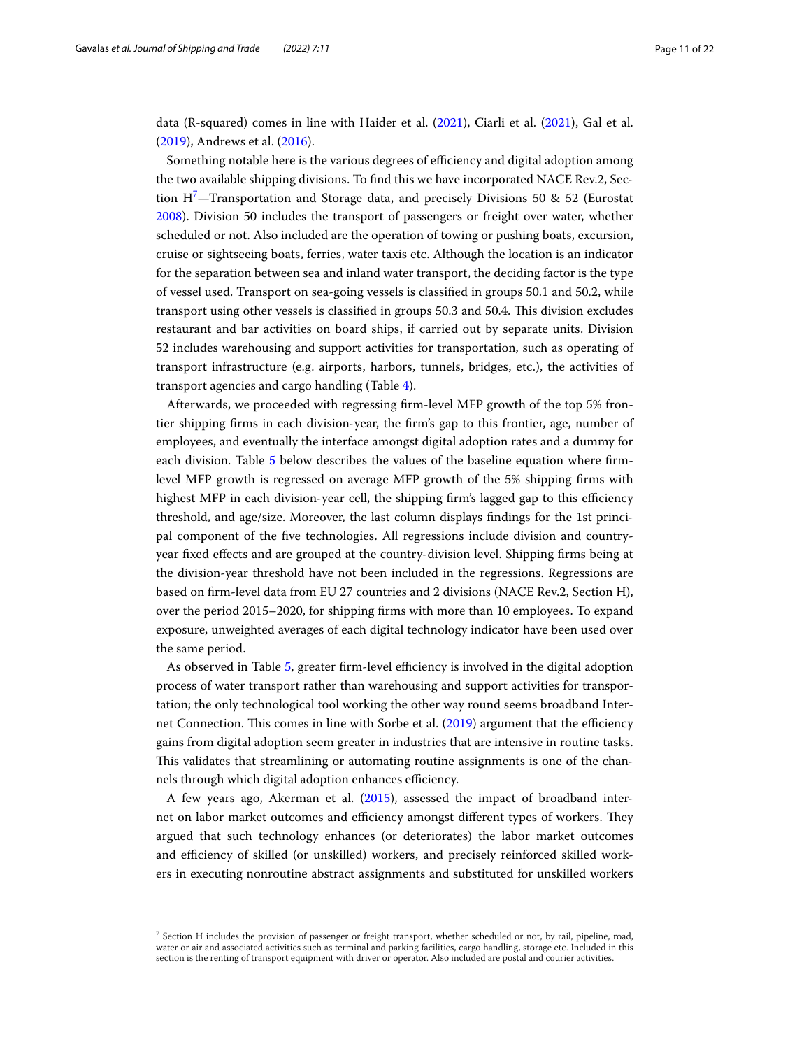data (R-squared) comes in line with Haider et al. ([2021](#page-20-26)), Ciarli et al. [\(2021\)](#page-19-6), Gal et al. ([2019\)](#page-20-17), Andrews et al. [\(2016\)](#page-20-27).

Something notable here is the various degrees of efficiency and digital adoption among the two available shipping divisions. To fnd this we have incorporated NACE Rev.2, Section  $H<sup>7</sup>$  $H<sup>7</sup>$  $H<sup>7</sup>$ —Transportation and Storage data, and precisely Divisions 50 & 52 (Eurostat [2008](#page-20-0)). Division 50 includes the transport of passengers or freight over water, whether scheduled or not. Also included are the operation of towing or pushing boats, excursion, cruise or sightseeing boats, ferries, water taxis etc. Although the location is an indicator for the separation between sea and inland water transport, the deciding factor is the type of vessel used. Transport on sea-going vessels is classifed in groups 50.1 and 50.2, while transport using other vessels is classifed in groups 50.3 and 50.4. Tis division excludes restaurant and bar activities on board ships, if carried out by separate units. Division 52 includes warehousing and support activities for transportation, such as operating of transport infrastructure (e.g. airports, harbors, tunnels, bridges, etc.), the activities of transport agencies and cargo handling (Table [4](#page-11-0)).

Afterwards, we proceeded with regressing frm-level MFP growth of the top 5% frontier shipping frms in each division-year, the frm's gap to this frontier, age, number of employees, and eventually the interface amongst digital adoption rates and a dummy for each division. Table [5](#page-13-0) below describes the values of the baseline equation where frmlevel MFP growth is regressed on average MFP growth of the 5% shipping frms with highest MFP in each division-year cell, the shipping firm's lagged gap to this efficiency threshold, and age/size. Moreover, the last column displays fndings for the 1st principal component of the fve technologies. All regressions include division and countryyear fxed efects and are grouped at the country-division level. Shipping frms being at the division-year threshold have not been included in the regressions. Regressions are based on frm-level data from EU 27 countries and 2 divisions (NACE Rev.2, Section H), over the period 2015–2020, for shipping frms with more than 10 employees. To expand exposure, unweighted averages of each digital technology indicator have been used over the same period.

As observed in Table [5,](#page-13-0) greater firm-level efficiency is involved in the digital adoption process of water transport rather than warehousing and support activities for transportation; the only technological tool working the other way round seems broadband Inter-net Connection. This comes in line with Sorbe et al. ([2019](#page-21-0)) argument that the efficiency gains from digital adoption seem greater in industries that are intensive in routine tasks. Tis validates that streamlining or automating routine assignments is one of the channels through which digital adoption enhances efficiency.

A few years ago, Akerman et al. ([2015](#page-19-7)), assessed the impact of broadband internet on labor market outcomes and efficiency amongst different types of workers. They argued that such technology enhances (or deteriorates) the labor market outcomes and efficiency of skilled (or unskilled) workers, and precisely reinforced skilled workers in executing nonroutine abstract assignments and substituted for unskilled workers

<span id="page-10-0"></span> $7$  Section H includes the provision of passenger or freight transport, whether scheduled or not, by rail, pipeline, road, water or air and associated activities such as terminal and parking facilities, cargo handling, storage etc. Included in this section is the renting of transport equipment with driver or operator. Also included are postal and courier activities.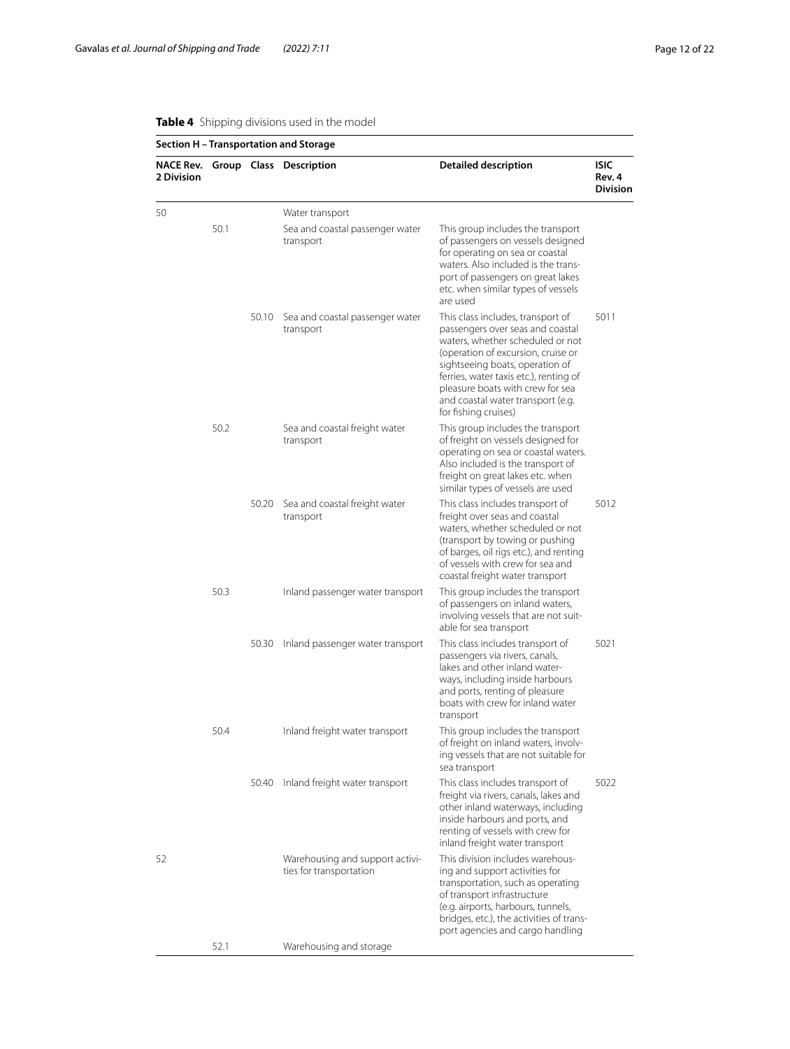|                                |      |       | Section H - Transportation and Storage                     |                                                                                                                                                                                                                                                                                                                               |                                          |
|--------------------------------|------|-------|------------------------------------------------------------|-------------------------------------------------------------------------------------------------------------------------------------------------------------------------------------------------------------------------------------------------------------------------------------------------------------------------------|------------------------------------------|
| <b>NACE Rev.</b><br>2 Division |      |       | Group Class Description                                    | <b>Detailed description</b>                                                                                                                                                                                                                                                                                                   | <b>ISIC</b><br>Rev. 4<br><b>Division</b> |
| 50                             |      |       | Water transport                                            |                                                                                                                                                                                                                                                                                                                               |                                          |
|                                | 50.1 |       | Sea and coastal passenger water<br>transport               | This group includes the transport<br>of passengers on vessels designed<br>for operating on sea or coastal<br>waters. Also included is the trans-<br>port of passengers on great lakes<br>etc. when similar types of vessels<br>are used                                                                                       |                                          |
|                                |      | 50.10 | Sea and coastal passenger water<br>transport               | This class includes, transport of<br>passengers over seas and coastal<br>waters, whether scheduled or not<br>(operation of excursion, cruise or<br>sightseeing boats, operation of<br>ferries, water taxis etc.), renting of<br>pleasure boats with crew for sea<br>and coastal water transport (e.g.<br>for fishing cruises) | 5011                                     |
|                                | 50.2 |       | Sea and coastal freight water<br>transport                 | This group includes the transport<br>of freight on vessels designed for<br>operating on sea or coastal waters.<br>Also included is the transport of<br>freight on great lakes etc. when<br>similar types of vessels are used                                                                                                  |                                          |
|                                |      | 50.20 | Sea and coastal freight water<br>transport                 | This class includes transport of<br>freight over seas and coastal<br>waters, whether scheduled or not<br>(transport by towing or pushing<br>of barges, oil rigs etc.), and renting<br>of vessels with crew for sea and<br>coastal freight water transport                                                                     | 5012                                     |
|                                | 50.3 |       | Inland passenger water transport                           | This group includes the transport<br>of passengers on inland waters,<br>involving vessels that are not suit-<br>able for sea transport                                                                                                                                                                                        |                                          |
|                                |      | 50.30 | Inland passenger water transport                           | This class includes transport of<br>passengers via rivers, canals,<br>lakes and other inland water-<br>ways, including inside harbours<br>and ports, renting of pleasure<br>boats with crew for inland water<br>transport                                                                                                     | 5021                                     |
|                                | 50.4 |       | Inland freight water transport                             | This group includes the transport<br>of freight on inland waters, involv-<br>ing vessels that are not suitable for<br>sea transport                                                                                                                                                                                           |                                          |
|                                |      | 50.40 | Inland freight water transport                             | This class includes transport of<br>freight via rivers, canals, lakes and<br>other inland waterways, including<br>inside harbours and ports, and<br>renting of vessels with crew for<br>inland freight water transport                                                                                                        | 5022                                     |
| 52                             |      |       | Warehousing and support activi-<br>ties for transportation | This division includes warehous-<br>ing and support activities for<br>transportation, such as operating<br>of transport infrastructure<br>(e.g. airports, harbours, tunnels,<br>bridges, etc.), the activities of trans-<br>port agencies and cargo handling                                                                  |                                          |
|                                | 52.1 |       | Warehousing and storage                                    |                                                                                                                                                                                                                                                                                                                               |                                          |

# <span id="page-11-0"></span>**Table 4** Shipping divisions used in the model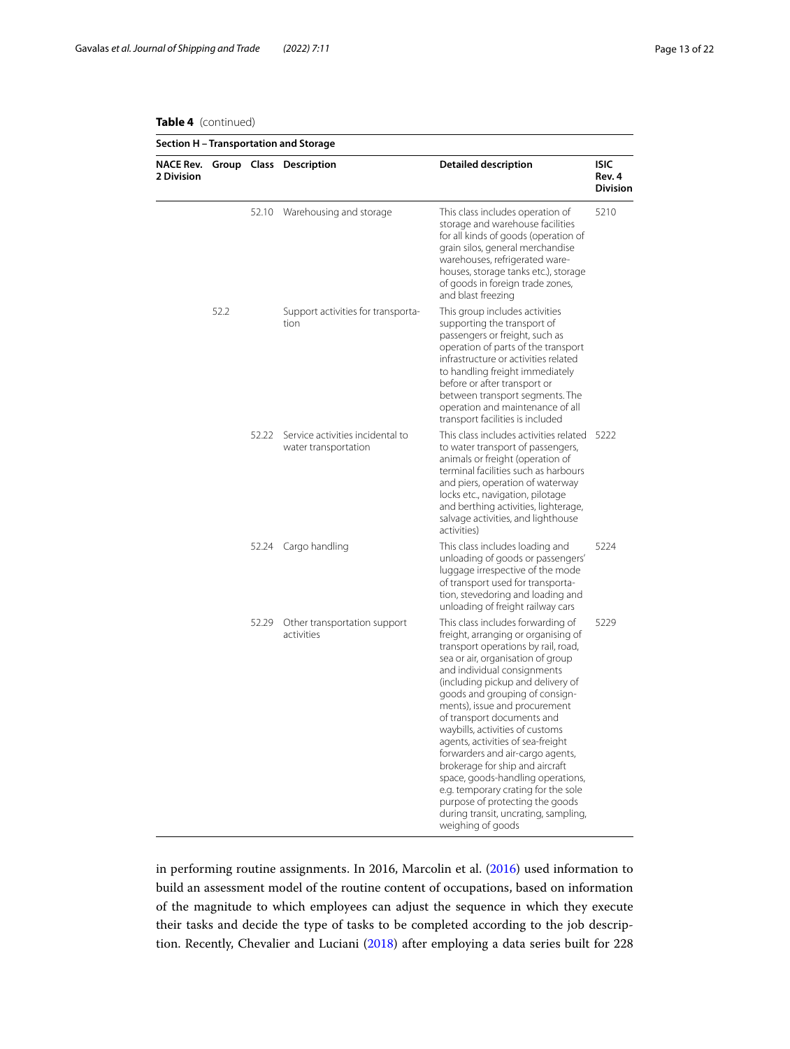# **Table 4** (continued)

| Section H - Transportation and Storage |      |       |                                                          |                                                                                                                                                                                                                                                                                                                                                                                                                                                                                                                                                                                                                                                      |                                          |  |
|----------------------------------------|------|-------|----------------------------------------------------------|------------------------------------------------------------------------------------------------------------------------------------------------------------------------------------------------------------------------------------------------------------------------------------------------------------------------------------------------------------------------------------------------------------------------------------------------------------------------------------------------------------------------------------------------------------------------------------------------------------------------------------------------------|------------------------------------------|--|
| 2 Division                             |      |       | NACE Rev. Group Class Description                        | <b>Detailed description</b>                                                                                                                                                                                                                                                                                                                                                                                                                                                                                                                                                                                                                          | <b>ISIC</b><br>Rev. 4<br><b>Division</b> |  |
|                                        |      |       | 52.10 Warehousing and storage                            | This class includes operation of<br>storage and warehouse facilities<br>for all kinds of goods (operation of<br>grain silos, general merchandise<br>warehouses, refrigerated ware-<br>houses, storage tanks etc.), storage<br>of goods in foreign trade zones,<br>and blast freezing                                                                                                                                                                                                                                                                                                                                                                 | 5210                                     |  |
|                                        | 52.2 |       | Support activities for transporta-<br>tion               | This group includes activities<br>supporting the transport of<br>passengers or freight, such as<br>operation of parts of the transport<br>infrastructure or activities related<br>to handling freight immediately<br>before or after transport or<br>between transport segments. The<br>operation and maintenance of all<br>transport facilities is included                                                                                                                                                                                                                                                                                         |                                          |  |
|                                        |      | 52.22 | Service activities incidental to<br>water transportation | This class includes activities related 5222<br>to water transport of passengers,<br>animals or freight (operation of<br>terminal facilities such as harbours<br>and piers, operation of waterway<br>locks etc., navigation, pilotage<br>and berthing activities, lighterage,<br>salvage activities, and lighthouse<br>activities)                                                                                                                                                                                                                                                                                                                    |                                          |  |
|                                        |      |       | 52.24 Cargo handling                                     | This class includes loading and<br>unloading of goods or passengers'<br>luggage irrespective of the mode<br>of transport used for transporta-<br>tion, stevedoring and loading and<br>unloading of freight railway cars                                                                                                                                                                                                                                                                                                                                                                                                                              | 5224                                     |  |
|                                        |      | 52.29 | Other transportation support<br>activities               | This class includes forwarding of<br>freight, arranging or organising of<br>transport operations by rail, road,<br>sea or air, organisation of group<br>and individual consignments<br>(including pickup and delivery of<br>goods and grouping of consign-<br>ments), issue and procurement<br>of transport documents and<br>waybills, activities of customs<br>agents, activities of sea-freight<br>forwarders and air-cargo agents,<br>brokerage for ship and aircraft<br>space, goods-handling operations,<br>e.g. temporary crating for the sole<br>purpose of protecting the goods<br>during transit, uncrating, sampling,<br>weighing of goods | 5229                                     |  |

in performing routine assignments. In 2016, Marcolin et al. ([2016](#page-20-28)) used information to build an assessment model of the routine content of occupations, based on information of the magnitude to which employees can adjust the sequence in which they execute their tasks and decide the type of tasks to be completed according to the job description. Recently, Chevalier and Luciani [\(2018\)](#page-20-29) after employing a data series built for 228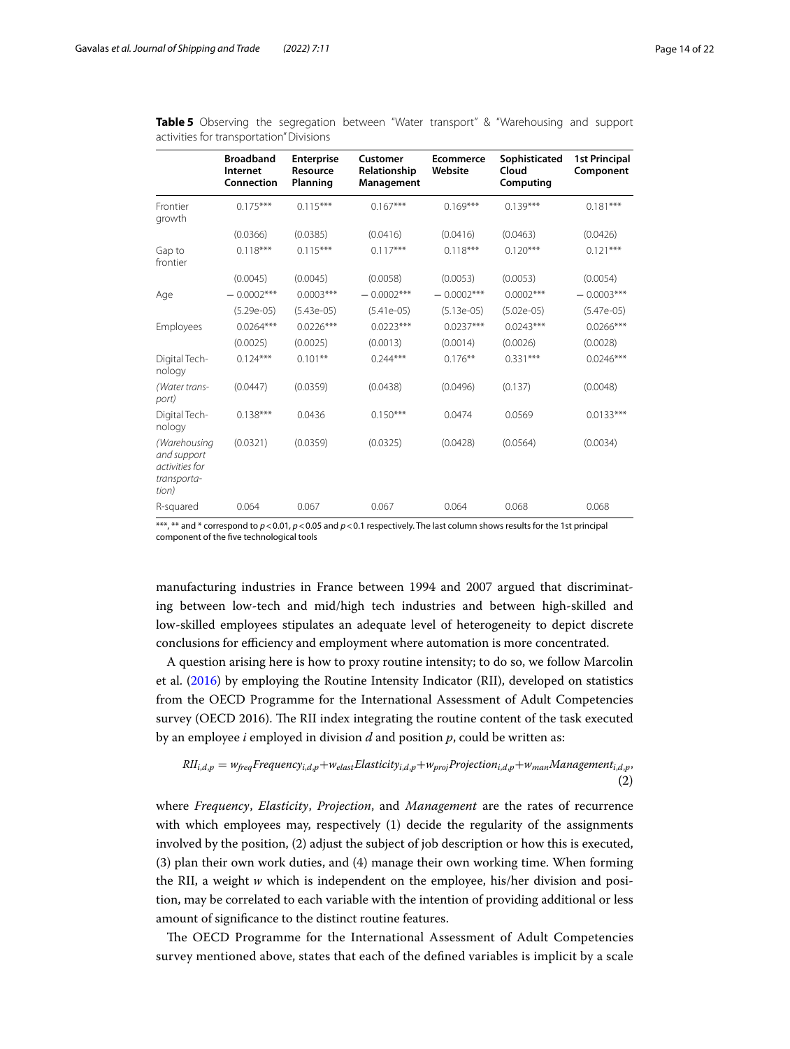|                                                                       | <b>Broadband</b><br>Internet<br>Connection | <b>Enterprise</b><br>Resource<br>Planning | Customer<br>Relationship<br>Management | <b>Ecommerce</b><br>Website | Sophisticated<br>Cloud<br>Computing | <b>1st Principal</b><br>Component |
|-----------------------------------------------------------------------|--------------------------------------------|-------------------------------------------|----------------------------------------|-----------------------------|-------------------------------------|-----------------------------------|
| Frontier<br>growth                                                    | $0.175***$                                 | $0.115***$                                | $0.167***$                             | $0.169***$                  | $0.139***$                          | $0.181***$                        |
|                                                                       | (0.0366)                                   | (0.0385)                                  | (0.0416)                               | (0.0416)                    | (0.0463)                            | (0.0426)                          |
| Gap to<br>frontier                                                    | $0.118***$                                 | $0.115***$                                | $0.117***$                             | $0.118***$                  | $0.120***$                          | $0.121***$                        |
|                                                                       | (0.0045)                                   | (0.0045)                                  | (0.0058)                               | (0.0053)                    | (0.0053)                            | (0.0054)                          |
| Age                                                                   | $-0.0002***$                               | $0.0003***$                               | $-0.0002***$                           | $-0.0002***$                | $0.0002***$                         | $-0.0003***$                      |
|                                                                       | $(5.29e-05)$                               | $(5.43e-05)$                              | $(5.41e-05)$                           | $(5.13e-05)$                | $(5.02e-05)$                        | $(5.47e-05)$                      |
| Employees                                                             | $0.0264***$                                | $0.0226***$                               | $0.0223***$                            | $0.0237***$                 | $0.0243***$                         | $0.0266***$                       |
|                                                                       | (0.0025)                                   | (0.0025)                                  | (0.0013)                               | (0.0014)                    | (0.0026)                            | (0.0028)                          |
| Digital Tech-<br>nology                                               | $0.124***$                                 | $0.101***$                                | $0.244***$                             | $0.176***$                  | $0.331***$                          | $0.0246***$                       |
| (Water trans-<br>port)                                                | (0.0447)                                   | (0.0359)                                  | (0.0438)                               | (0.0496)                    | (0.137)                             | (0.0048)                          |
| Digital Tech-<br>nology                                               | $0.138***$                                 | 0.0436                                    | $0.150***$                             | 0.0474                      | 0.0569                              | $0.0133***$                       |
| (Warehousing<br>and support<br>activities for<br>transporta-<br>tion) | (0.0321)                                   | (0.0359)                                  | (0.0325)                               | (0.0428)                    | (0.0564)                            | (0.0034)                          |
| R-squared                                                             | 0.064                                      | 0.067                                     | 0.067                                  | 0.064                       | 0.068                               | 0.068                             |

<span id="page-13-0"></span>**Table 5** Observing the segregation between "Water transport" & "Warehousing and support activities for transportation" Divisions

\*\*\*, \*\* and \* correspond to  $p$  < 0.01,  $p$  < 0.05 and  $p$  < 0.1 respectively. The last column shows results for the 1st principal component of the fve technological tools

manufacturing industries in France between 1994 and 2007 argued that discriminating between low-tech and mid/high tech industries and between high-skilled and low-skilled employees stipulates an adequate level of heterogeneity to depict discrete conclusions for efficiency and employment where automation is more concentrated.

A question arising here is how to proxy routine intensity; to do so, we follow Marcolin et al. ([2016\)](#page-20-28) by employing the Routine Intensity Indicator (RII), developed on statistics from the OECD Programme for the International Assessment of Adult Competencies survey (OECD 2016). The RII index integrating the routine content of the task executed by an employee *i* employed in division *d* and position *p*, could be written as:

<span id="page-13-1"></span>
$$
RII_{i,d,p} = w_{freq} Frequency_{i,d,p} + w_{elast}Elasticity_{i,d,p} + w_{proj}Projection_{i,d,p} + w_{man}Management_{i,d,p},
$$
\n(2)

where *Frequency*, *Elasticity*, *Projection*, and *Management* are the rates of recurrence with which employees may, respectively (1) decide the regularity of the assignments involved by the position, (2) adjust the subject of job description or how this is executed, (3) plan their own work duties, and (4) manage their own working time. When forming the RII, a weight  $w$  which is independent on the employee, his/her division and position, may be correlated to each variable with the intention of providing additional or less amount of signifcance to the distinct routine features.

The OECD Programme for the International Assessment of Adult Competencies survey mentioned above, states that each of the defned variables is implicit by a scale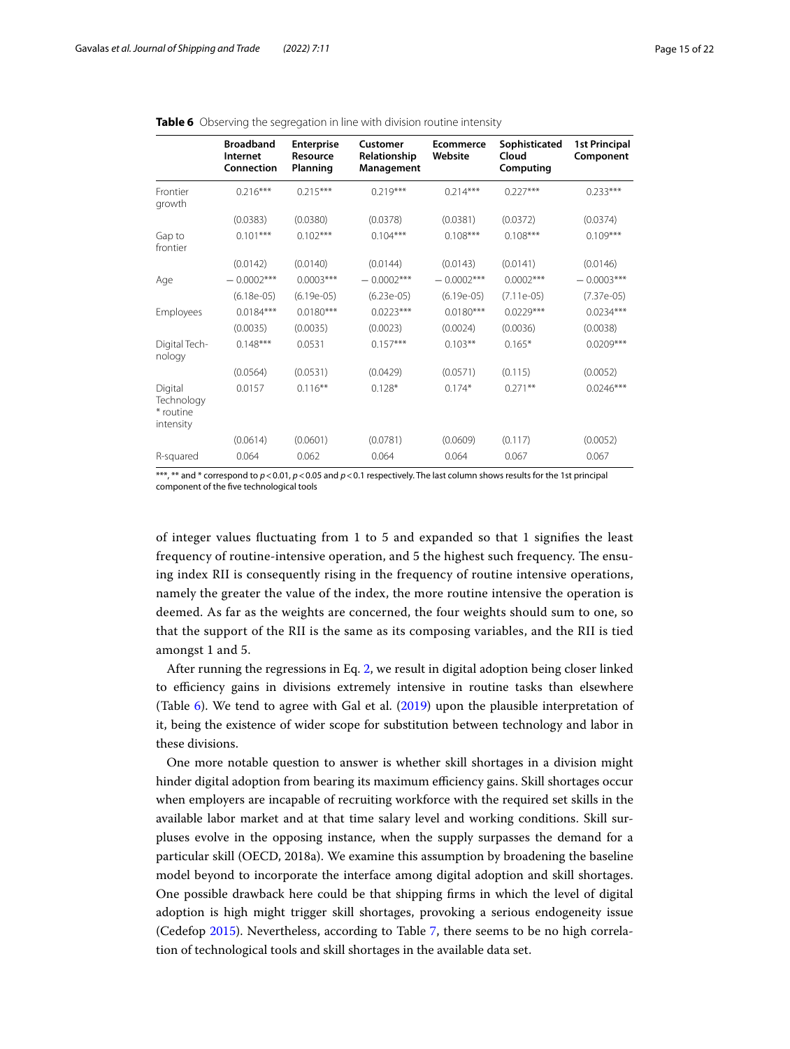|                                                 | <b>Broadband</b><br>Internet<br>Connection | <b>Enterprise</b><br>Resource<br>Planning | Customer<br>Relationship<br>Management | <b>Ecommerce</b><br>Website | Sophisticated<br>Cloud<br>Computing | <b>1st Principal</b><br>Component |
|-------------------------------------------------|--------------------------------------------|-------------------------------------------|----------------------------------------|-----------------------------|-------------------------------------|-----------------------------------|
| Frontier<br>growth                              | $0.216***$                                 | $0.215***$                                | $0.219***$                             | $0.214***$                  | $0.227***$                          | $0.233***$                        |
|                                                 | (0.0383)                                   | (0.0380)                                  | (0.0378)                               | (0.0381)                    | (0.0372)                            | (0.0374)                          |
| Gap to<br>frontier                              | $0.101***$                                 | $0.102***$                                | $0.104***$                             | $0.108***$                  | $0.108***$                          | $0.109***$                        |
|                                                 | (0.0142)                                   | (0.0140)                                  | (0.0144)                               | (0.0143)                    | (0.0141)                            | (0.0146)                          |
| Age                                             | $-0.0002***$                               | $0.0003***$                               | $-0.0002***$                           | $-0.0002***$                | $0.0002***$                         | $-0.0003***$                      |
|                                                 | $(6.18e-05)$                               | $(6.19e-05)$                              | $(6.23e-05)$                           | $(6.19e-05)$                | $(7.11e-05)$                        | $(7.37e-05)$                      |
| Employees                                       | $0.0184***$                                | $0.0180***$                               | $0.0223***$                            | $0.0180***$                 | $0.0229***$                         | $0.0234***$                       |
|                                                 | (0.0035)                                   | (0.0035)                                  | (0.0023)                               | (0.0024)                    | (0.0036)                            | (0.0038)                          |
| Digital Tech-<br>nology                         | $0.148***$                                 | 0.0531                                    | $0.157***$                             | $0.103**$                   | $0.165*$                            | $0.0209***$                       |
|                                                 | (0.0564)                                   | (0.0531)                                  | (0.0429)                               | (0.0571)                    | (0.115)                             | (0.0052)                          |
| Digital<br>Technology<br>* routine<br>intensity | 0.0157                                     | $0.116**$                                 | $0.128*$                               | $0.174*$                    | $0.271***$                          | $0.0246***$                       |
|                                                 | (0.0614)                                   | (0.0601)                                  | (0.0781)                               | (0.0609)                    | (0.117)                             | (0.0052)                          |
| R-squared                                       | 0.064                                      | 0.062                                     | 0.064                                  | 0.064                       | 0.067                               | 0.067                             |

### <span id="page-14-0"></span>**Table 6** Observing the segregation in line with division routine intensity

\*\*\*, \*\* and \* correspond to *p*<0.01, *p*<0.05 and *p*<0.1 respectively. The last column shows results for the 1st principal component of the fve technological tools

of integer values fuctuating from 1 to 5 and expanded so that 1 signifes the least frequency of routine-intensive operation, and 5 the highest such frequency. The ensuing index RII is consequently rising in the frequency of routine intensive operations, namely the greater the value of the index, the more routine intensive the operation is deemed. As far as the weights are concerned, the four weights should sum to one, so that the support of the RII is the same as its composing variables, and the RII is tied amongst 1 and 5.

After running the regressions in Eq. [2](#page-13-1), we result in digital adoption being closer linked to efficiency gains in divisions extremely intensive in routine tasks than elsewhere (Table [6](#page-14-0)). We tend to agree with Gal et al. [\(2019\)](#page-20-17) upon the plausible interpretation of it, being the existence of wider scope for substitution between technology and labor in these divisions.

One more notable question to answer is whether skill shortages in a division might hinder digital adoption from bearing its maximum efficiency gains. Skill shortages occur when employers are incapable of recruiting workforce with the required set skills in the available labor market and at that time salary level and working conditions. Skill surpluses evolve in the opposing instance, when the supply surpasses the demand for a particular skill (OECD, 2018a). We examine this assumption by broadening the baseline model beyond to incorporate the interface among digital adoption and skill shortages. One possible drawback here could be that shipping frms in which the level of digital adoption is high might trigger skill shortages, provoking a serious endogeneity issue (Cedefop [2015\)](#page-20-30). Nevertheless, according to Table [7](#page-15-0), there seems to be no high correlation of technological tools and skill shortages in the available data set.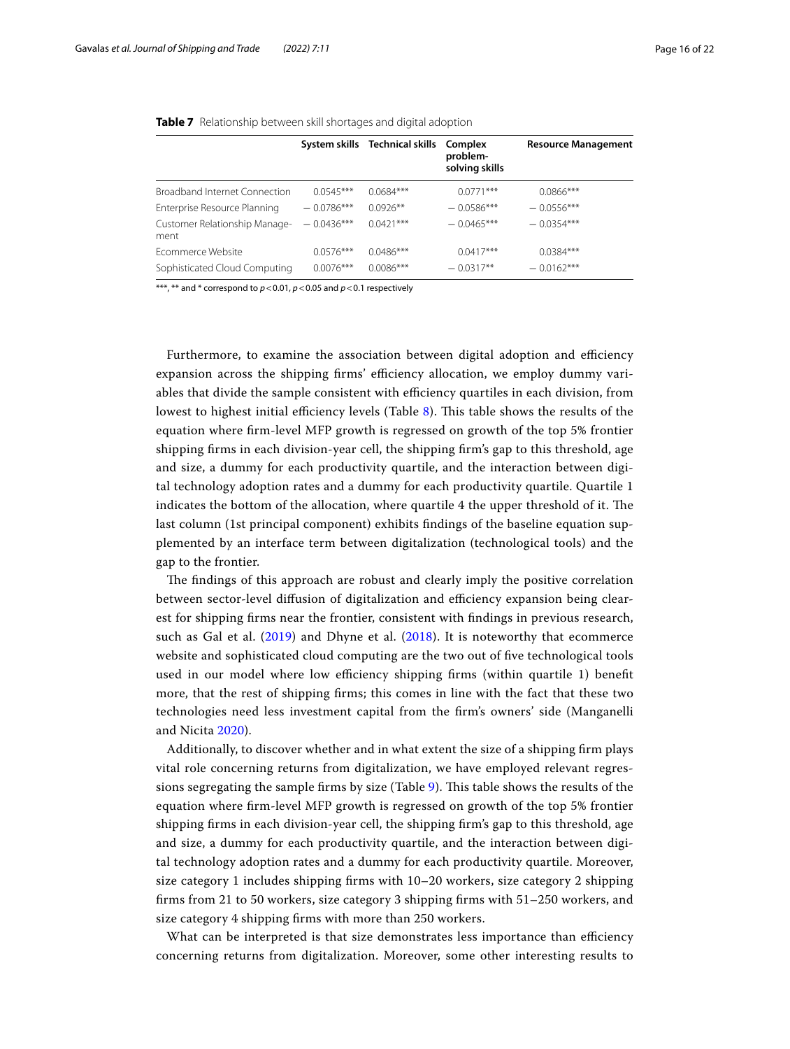### <span id="page-15-0"></span>**Table 7** Relationship between skill shortages and digital adoption

|                                       |              | System skills Technical skills | Complex<br>problem-<br>solving skills | <b>Resource Management</b> |
|---------------------------------------|--------------|--------------------------------|---------------------------------------|----------------------------|
| <b>Broadband Internet Connection</b>  | $0.0545***$  | $0.0684***$                    | $0.0771***$                           | $0.0866$ ***               |
| Enterprise Resource Planning          | $-0.0786***$ | $0.0926**$                     | $-0.0586***$                          | $-0.0556***$               |
| Customer Relationship Manage-<br>ment | $-0.0436***$ | $0.0421***$                    | $-0.0465***$                          | $-0.0354***$               |
| Ecommerce Website                     | $0.0576***$  | $0.0486***$                    | $0.0417***$                           | $0.0384***$                |
| Sophisticated Cloud Computing         | $0.0076***$  | $0.0086***$                    | $-0.0317**$                           | $-0.0162***$               |

\*\*\*, \*\* and \* correspond to *p*<0.01, *p*<0.05 and *p*<0.1 respectively

Furthermore, to examine the association between digital adoption and efficiency expansion across the shipping firms' efficiency allocation, we employ dummy variables that divide the sample consistent with efficiency quartiles in each division, from lowest to highest initial efficiency levels (Table [8\)](#page-16-0). This table shows the results of the equation where frm-level MFP growth is regressed on growth of the top 5% frontier shipping frms in each division-year cell, the shipping frm's gap to this threshold, age and size, a dummy for each productivity quartile, and the interaction between digital technology adoption rates and a dummy for each productivity quartile. Quartile 1 indicates the bottom of the allocation, where quartile  $4$  the upper threshold of it. The last column (1st principal component) exhibits fndings of the baseline equation supplemented by an interface term between digitalization (technological tools) and the gap to the frontier.

The findings of this approach are robust and clearly imply the positive correlation between sector-level diffusion of digitalization and efficiency expansion being clearest for shipping frms near the frontier, consistent with fndings in previous research, such as Gal et al. ([2019](#page-20-17)) and Dhyne et al. ([2018](#page-20-31)). It is noteworthy that ecommerce website and sophisticated cloud computing are the two out of five technological tools used in our model where low efficiency shipping firms (within quartile 1) benefit more, that the rest of shipping frms; this comes in line with the fact that these two technologies need less investment capital from the frm's owners' side (Manganelli and Nicita [2020](#page-20-32)).

Additionally, to discover whether and in what extent the size of a shipping frm plays vital role concerning returns from digitalization, we have employed relevant regres-sions segregating the sample firms by size (Table [9](#page-17-1)). This table shows the results of the equation where frm-level MFP growth is regressed on growth of the top 5% frontier shipping frms in each division-year cell, the shipping frm's gap to this threshold, age and size, a dummy for each productivity quartile, and the interaction between digital technology adoption rates and a dummy for each productivity quartile. Moreover, size category 1 includes shipping frms with 10–20 workers, size category 2 shipping frms from 21 to 50 workers, size category 3 shipping frms with 51–250 workers, and size category 4 shipping frms with more than 250 workers.

What can be interpreted is that size demonstrates less importance than efficiency concerning returns from digitalization. Moreover, some other interesting results to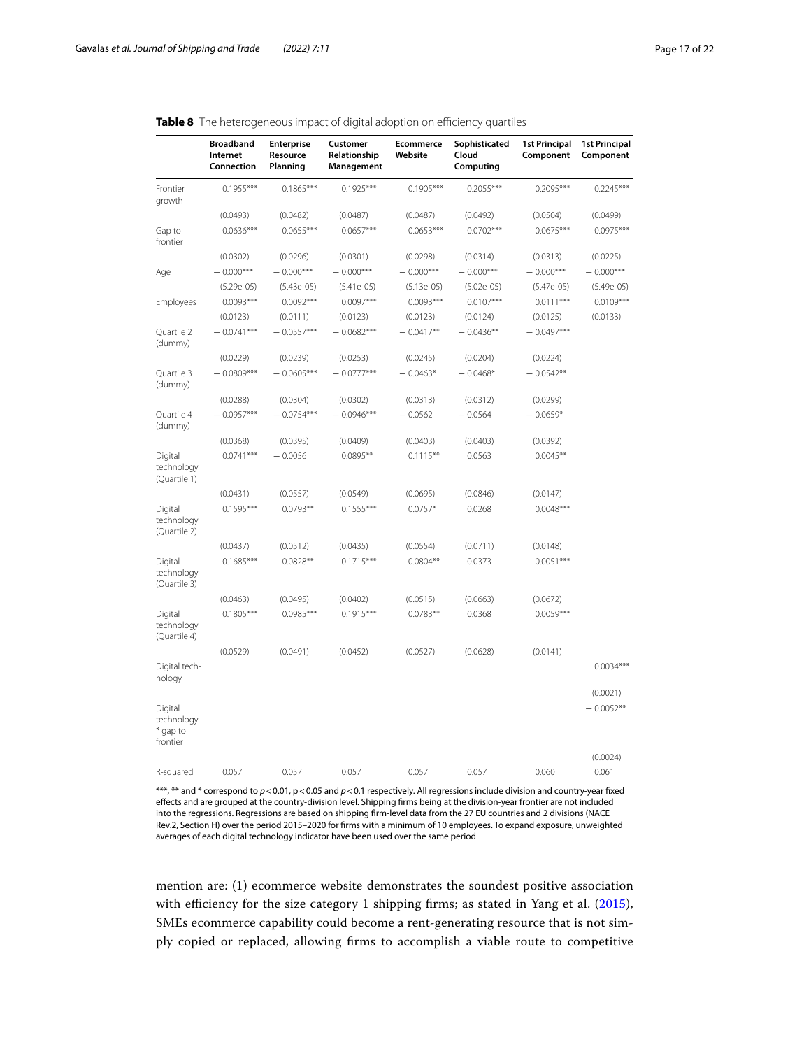(0.0024)

#### **Broadband Internet Connection Enterprise Resource Planning Customer Relationship Management Ecommerce Website Sophisticated Cloud Computing 1st Principal Component 1st Principal Component** Frontier growth  $0.1955***$   $0.1865***$   $0.1925***$   $0.1905***$   $0.2055***$   $0.2245***$   $0.2245***$ (0.0493) (0.0482) (0.0487) (0.0487) (0.0492) (0.0504) (0.0499) Gap to frontier  $0.0636***$   $0.0655***$   $0.0657***$   $0.0653***$   $0.0702***$   $0.0675***$   $0.0975***$ (0.0302) (0.0296) (0.0301) (0.0298) (0.0314) (0.0313) (0.0225) Age  $-0.000***$   $-0.000***$   $-0.000***$   $-0.000***$   $-0.000***$   $-0.000***$   $-0.000***$   $-0.000***$ (5.29e-05) (5.43e-05) (5.41e-05) (5.13e-05) (5.02e-05) (5.47e-05) (5.49e-05) Employees 0.0093\*\*\* 0.0092\*\*\* 0.0097\*\*\* 0.0093\*\*\* 0.0107\*\*\* 0.0111\*\*\* 0.0109\*\*\*  $(0.0123)$   $(0.0111)$   $(0.0123)$   $(0.0123)$   $(0.0124)$   $(0.0125)$   $(0.0133)$ Quartile 2 (dummy)  $- 0.0741***$   $- 0.0557***$   $- 0.0682***$   $- 0.0417***$   $- 0.0436***$   $- 0.0497***$ (0.0229) (0.0239) (0.0253) (0.0245) (0.0204) (0.0224) Quartile 3 (dummy)  $- 0.0809*** - 0.0605*** - 0.0777*** - 0.0463* - 0.0468* - 0.0542**$ (0.0288) (0.0304) (0.0302) (0.0313) (0.0312) (0.0299) Quartile 4 (dummy)  $- 0.0957***$   $- 0.0754***$   $- 0.0946***$   $- 0.0562$   $- 0.0564$   $- 0.0659*$ (0.0368) (0.0395) (0.0409) (0.0403) (0.0403) (0.0392) Digital technology (Quartile 1)  $0.0741***$  − 0.0056  $0.0895***$  0.1115<sup>\*\*</sup> 0.0563 0.0045<sup>\*\*</sup> (0.0431) (0.0557) (0.0549) (0.0695) (0.0846) (0.0147) Digital technology (Quartile 2)  $0.1595***$   $0.0793***$   $0.1555***$   $0.0757*$   $0.0268$  0.0048\*\*\* (0.0437) (0.0512) (0.0435) (0.0554) (0.0711) (0.0148) Digital technology (Quartile 3)  $0.1685***$   $0.0828***$   $0.1715***$   $0.0804***$   $0.0373$   $0.0051***$ (0.0463) (0.0495) (0.0402) (0.0515) (0.0663) (0.0672) Digital technology (Quartile 4) 0.1805\*\*\* 0.0985\*\*\* 0.1915\*\*\* 0.0783\*\* 0.0368 0.0059\*\*\* (0.0529) (0.0491) (0.0452) (0.0527) (0.0628) (0.0141) Digital technology 0.0034\*\*\* (0.0021) Digital technology \* gap to frontier  $-0.0052***$

### <span id="page-16-0"></span>Table 8 The heterogeneous impact of digital adoption on efficiency quartiles

\*\*\*, \*\* and \* correspond to  $p$  < 0.01, p < 0.05 and  $p$  < 0.1 respectively. All regressions include division and country-year fixed efects and are grouped at the country-division level. Shipping frms being at the division-year frontier are not included into the regressions. Regressions are based on shipping frm-level data from the 27 EU countries and 2 divisions (NACE Rev.2, Section H) over the period 2015–2020 for frms with a minimum of 10 employees. To expand exposure, unweighted averages of each digital technology indicator have been used over the same period

R-squared 0.057 0.057 0.057 0.057 0.057 0.060 0.061

mention are: (1) ecommerce website demonstrates the soundest positive association with efficiency for the size category 1 shipping firms; as stated in Yang et al.  $(2015)$  $(2015)$  $(2015)$ , SMEs ecommerce capability could become a rent-generating resource that is not simply copied or replaced, allowing frms to accomplish a viable route to competitive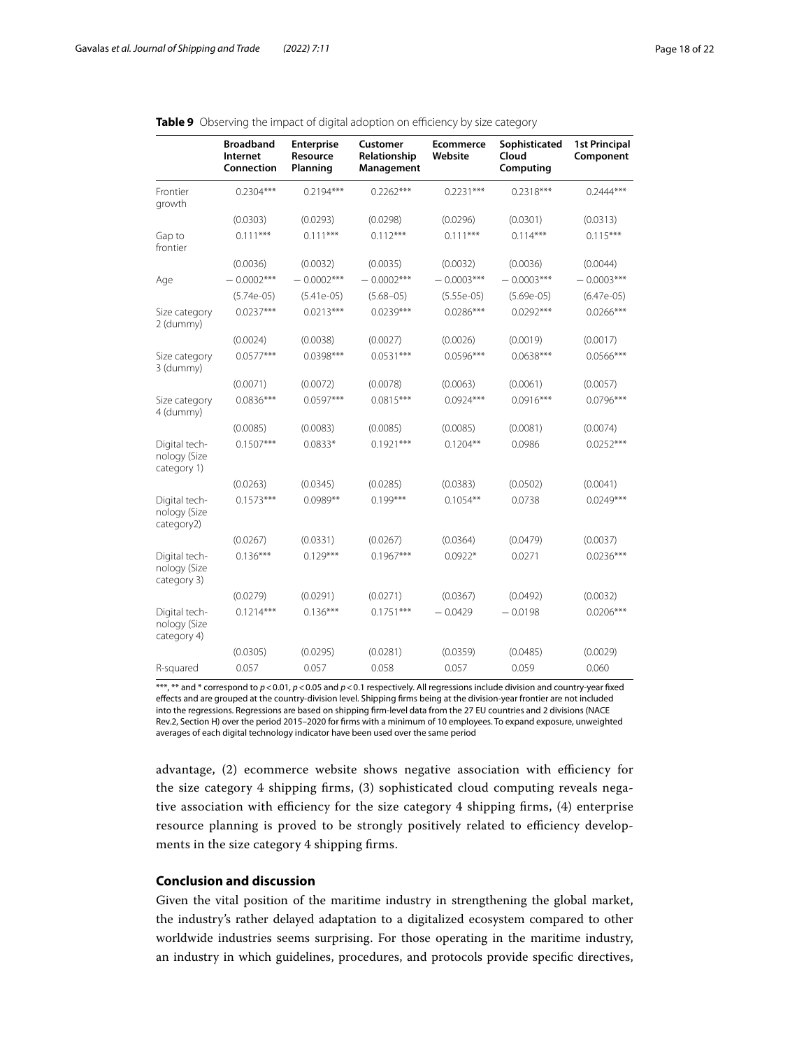|                                              | <b>Broadband</b><br>Internet<br>Connection | <b>Enterprise</b><br>Resource<br>Planning | Customer<br>Relationship<br>Management | <b>Ecommerce</b><br>Website | Sophisticated<br>Cloud<br>Computing | <b>1st Principal</b><br>Component |
|----------------------------------------------|--------------------------------------------|-------------------------------------------|----------------------------------------|-----------------------------|-------------------------------------|-----------------------------------|
| Frontier<br>growth                           | $0.2304***$                                | $0.2194***$                               | $0.2262***$                            | $0.2231***$                 | $0.2318***$                         | $0.2444***$                       |
|                                              | (0.0303)                                   | (0.0293)                                  | (0.0298)                               | (0.0296)                    | (0.0301)                            | (0.0313)                          |
| Gap to<br>frontier                           | $0.111***$                                 | $0.111***$                                | $0.112***$                             | $0.111***$                  | $0.114***$                          | $0.115***$                        |
|                                              | (0.0036)                                   | (0.0032)                                  | (0.0035)                               | (0.0032)                    | (0.0036)                            | (0.0044)                          |
| Age                                          | $-0.0002***$                               | $-0.0002***$                              | $-0.0002***$                           | $-0.0003***$                | $-0.0003***$                        | $-0.0003***$                      |
|                                              | $(5.74e-05)$                               | $(5.41e-05)$                              | $(5.68 - 05)$                          | $(5.55e-05)$                | $(5.69e-05)$                        | $(6.47e-05)$                      |
| Size category<br>2 (dummy)                   | $0.0237***$                                | $0.0213***$                               | $0.0239***$                            | $0.0286***$                 | $0.0292***$                         | $0.0266***$                       |
|                                              | (0.0024)                                   | (0.0038)                                  | (0.0027)                               | (0.0026)                    | (0.0019)                            | (0.0017)                          |
| Size category<br>3 (dummy)                   | $0.0577***$                                | 0.0398***                                 | $0.0531***$                            | $0.0596***$                 | $0.0638***$                         | $0.0566***$                       |
|                                              | (0.0071)                                   | (0.0072)                                  | (0.0078)                               | (0.0063)                    | (0.0061)                            | (0.0057)                          |
| Size category<br>4 (dummy)                   | $0.0836***$                                | $0.0597***$                               | $0.0815***$                            | $0.0924***$                 | $0.0916***$                         | $0.0796***$                       |
|                                              | (0.0085)                                   | (0.0083)                                  | (0.0085)                               | (0.0085)                    | (0.0081)                            | (0.0074)                          |
| Digital tech-<br>nology (Size<br>category 1) | $0.1507***$                                | $0.0833*$                                 | $0.1921***$                            | $0.1204***$                 | 0.0986                              | $0.0252***$                       |
|                                              | (0.0263)                                   | (0.0345)                                  | (0.0285)                               | (0.0383)                    | (0.0502)                            | (0.0041)                          |
| Digital tech-<br>nology (Size<br>category2)  | $0.1573***$                                | $0.0989**$                                | $0.199***$                             | $0.1054**$                  | 0.0738                              | $0.0249***$                       |
|                                              | (0.0267)                                   | (0.0331)                                  | (0.0267)                               | (0.0364)                    | (0.0479)                            | (0.0037)                          |
| Digital tech-<br>nology (Size<br>category 3) | $0.136***$                                 | $0.129***$                                | $0.1967***$                            | $0.0922*$                   | 0.0271                              | $0.0236***$                       |
|                                              | (0.0279)                                   | (0.0291)                                  | (0.0271)                               | (0.0367)                    | (0.0492)                            | (0.0032)                          |
| Digital tech-<br>nology (Size<br>category 4) | $0.1214***$                                | $0.136***$                                | $0.1751***$                            | $-0.0429$                   | $-0.0198$                           | $0.0206***$                       |
|                                              | (0.0305)                                   | (0.0295)                                  | (0.0281)                               | (0.0359)                    | (0.0485)                            | (0.0029)                          |
| R-squared                                    | 0.057                                      | 0.057                                     | 0.058                                  | 0.057                       | 0.059                               | 0.060                             |

### <span id="page-17-1"></span>Table 9 Observing the impact of digital adoption on efficiency by size category

\*\*\*, \*\* and \* correspond to *p*<0.01, *p*<0.05 and *p*<0.1 respectively. All regressions include division and country-year fxed efects and are grouped at the country-division level. Shipping frms being at the division-year frontier are not included into the regressions. Regressions are based on shipping frm-level data from the 27 EU countries and 2 divisions (NACE Rev.2, Section H) over the period 2015–2020 for frms with a minimum of 10 employees. To expand exposure, unweighted averages of each digital technology indicator have been used over the same period

advantage, (2) ecommerce website shows negative association with efficiency for the size category 4 shipping frms, (3) sophisticated cloud computing reveals negative association with efficiency for the size category  $4$  shipping firms,  $(4)$  enterprise resource planning is proved to be strongly positively related to efficiency developments in the size category 4 shipping frms.

# <span id="page-17-0"></span>**Conclusion and discussion**

Given the vital position of the maritime industry in strengthening the global market, the industry's rather delayed adaptation to a digitalized ecosystem compared to other worldwide industries seems surprising. For those operating in the maritime industry, an industry in which guidelines, procedures, and protocols provide specifc directives,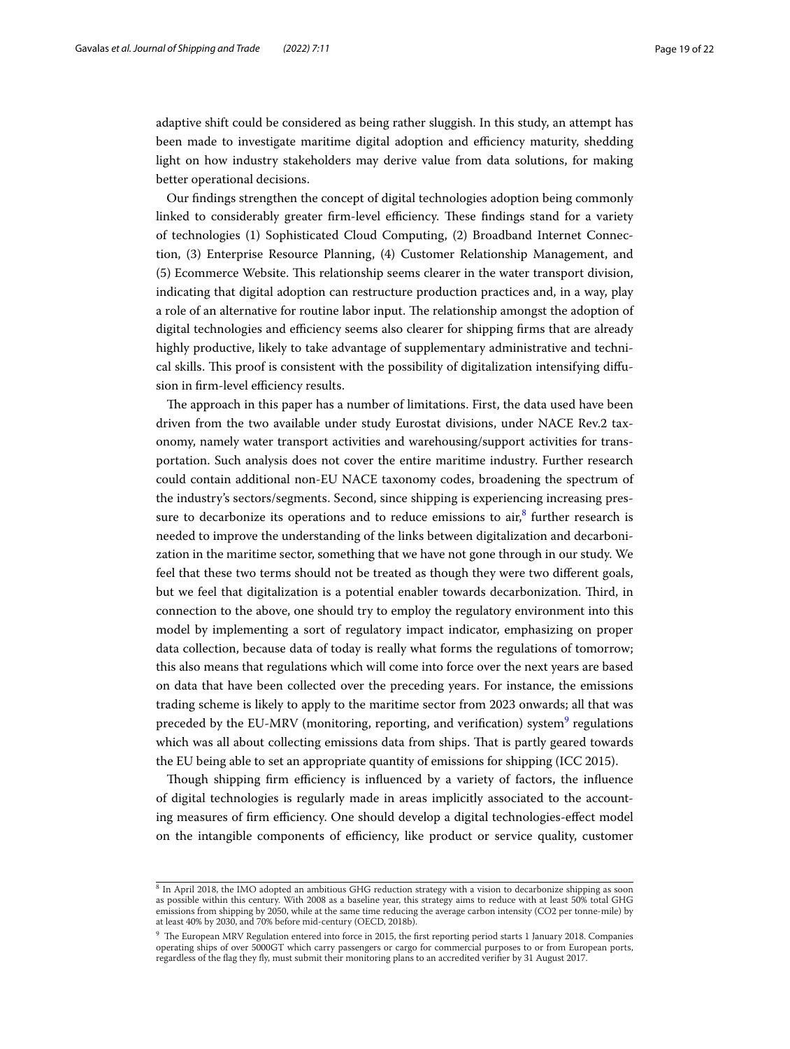adaptive shift could be considered as being rather sluggish. In this study, an attempt has been made to investigate maritime digital adoption and efficiency maturity, shedding light on how industry stakeholders may derive value from data solutions, for making better operational decisions.

Our fndings strengthen the concept of digital technologies adoption being commonly linked to considerably greater firm-level efficiency. These findings stand for a variety of technologies (1) Sophisticated Cloud Computing, (2) Broadband Internet Connection, (3) Enterprise Resource Planning, (4) Customer Relationship Management, and (5) Ecommerce Website. Tis relationship seems clearer in the water transport division, indicating that digital adoption can restructure production practices and, in a way, play a role of an alternative for routine labor input. The relationship amongst the adoption of digital technologies and efficiency seems also clearer for shipping firms that are already highly productive, likely to take advantage of supplementary administrative and technical skills. This proof is consistent with the possibility of digitalization intensifying diffusion in firm-level efficiency results.

The approach in this paper has a number of limitations. First, the data used have been driven from the two available under study Eurostat divisions, under NACE Rev.2 taxonomy, namely water transport activities and warehousing/support activities for transportation. Such analysis does not cover the entire maritime industry. Further research could contain additional non-EU NACE taxonomy codes, broadening the spectrum of the industry's sectors/segments. Second, since shipping is experiencing increasing pressure to decarbonize its operations and to reduce emissions to  $\sin^8$  $\sin^8$  further research is needed to improve the understanding of the links between digitalization and decarbonization in the maritime sector, something that we have not gone through in our study. We feel that these two terms should not be treated as though they were two diferent goals, but we feel that digitalization is a potential enabler towards decarbonization. Third, in connection to the above, one should try to employ the regulatory environment into this model by implementing a sort of regulatory impact indicator, emphasizing on proper data collection, because data of today is really what forms the regulations of tomorrow; this also means that regulations which will come into force over the next years are based on data that have been collected over the preceding years. For instance, the emissions trading scheme is likely to apply to the maritime sector from 2023 onwards; all that was preceded by the EU-MRV (monitoring, reporting, and verification) system<sup>[9](#page-18-1)</sup> regulations which was all about collecting emissions data from ships. That is partly geared towards the EU being able to set an appropriate quantity of emissions for shipping (ICC 2015).

Though shipping firm efficiency is influenced by a variety of factors, the influence of digital technologies is regularly made in areas implicitly associated to the accounting measures of firm efficiency. One should develop a digital technologies-effect model on the intangible components of efficiency, like product or service quality, customer

<span id="page-18-0"></span><sup>8</sup> In April 2018, the IMO adopted an ambitious GHG reduction strategy with a vision to decarbonize shipping as soon as possible within this century. With 2008 as a baseline year, this strategy aims to reduce with at least 50% total GHG emissions from shipping by 2050, while at the same time reducing the average carbon intensity (CO2 per tonne-mile) by at least 40% by 2030, and 70% before mid-century (OECD, 2018b).

<span id="page-18-1"></span> $9$  The European MRV Regulation entered into force in 2015, the first reporting period starts 1 January 2018. Companies operating ships of over 5000GT which carry passengers or cargo for commercial purposes to or from European ports, regardless of the fag they fy, must submit their monitoring plans to an accredited verifer by 31 August 2017.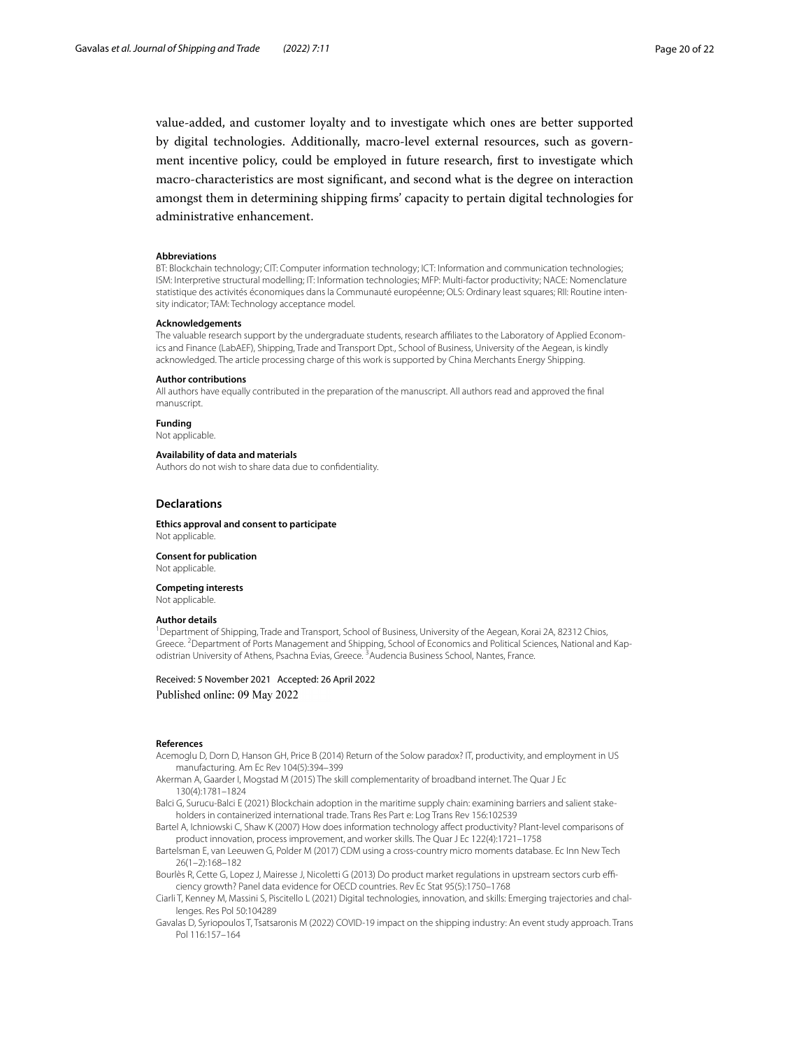value-added, and customer loyalty and to investigate which ones are better supported by digital technologies. Additionally, macro-level external resources, such as government incentive policy, could be employed in future research, frst to investigate which macro-characteristics are most signifcant, and second what is the degree on interaction amongst them in determining shipping frms' capacity to pertain digital technologies for administrative enhancement.

### **Abbreviations**

BT: Blockchain technology; CIT: Computer information technology; ICT: Information and communication technologies; ISM: Interpretive structural modelling; IT: Information technologies; MFP: Multi-factor productivity; NACE: Nomenclature statistique des activités économiques dans la Communauté européenne; OLS: Ordinary least squares; RII: Routine intensity indicator; TAM: Technology acceptance model.

#### **Acknowledgements**

The valuable research support by the undergraduate students, research afliates to the Laboratory of Applied Economics and Finance (LabAEF), Shipping, Trade and Transport Dpt., School of Business, University of the Aegean, is kindly acknowledged. The article processing charge of this work is supported by China Merchants Energy Shipping.

#### **Author contributions**

All authors have equally contributed in the preparation of the manuscript. All authors read and approved the fnal manuscript.

**Funding**

Not applicable.

### **Availability of data and materials**

Authors do not wish to share data due to confdentiality.

#### **Declarations**

**Ethics approval and consent to participate** Not applicable.

**Consent for publication**

Not applicable.

**Competing interests**

Not applicable.

### **Author details**

<sup>1</sup> Department of Shipping, Trade and Transport, School of Business, University of the Aegean, Korai 2A, 82312 Chios, Greece. <sup>2</sup> Department of Ports Management and Shipping, School of Economics and Political Sciences, National and Kapodistrian University of Athens, Psachna Evias, Greece. <sup>3</sup> Audencia Business School, Nantes, France.

# Received: 5 November 2021 Accepted: 26 April 2022 Published online: 09 May 2022

#### **References**

- <span id="page-19-2"></span>Acemoglu D, Dorn D, Hanson GH, Price B (2014) Return of the Solow paradox? IT, productivity, and employment in US manufacturing. Am Ec Rev 104(5):394–399
- <span id="page-19-7"></span>Akerman A, Gaarder I, Mogstad M (2015) The skill complementarity of broadband internet. The Quar J Ec 130(4):1781–1824
- <span id="page-19-3"></span>Balci G, Surucu-Balci E (2021) Blockchain adoption in the maritime supply chain: examining barriers and salient stakeholders in containerized international trade. Trans Res Part e: Log Trans Rev 156:102539

<span id="page-19-0"></span>Bartel A, Ichniowski C, Shaw K (2007) How does information technology afect productivity? Plant-level comparisons of product innovation, process improvement, and worker skills. The Quar J Ec 122(4):1721–1758

- <span id="page-19-1"></span>Bartelsman E, van Leeuwen G, Polder M (2017) CDM using a cross-country micro moments database. Ec Inn New Tech 26(1–2):168–182
- <span id="page-19-5"></span>Bourlès R, Cette G, Lopez J, Mairesse J, Nicoletti G (2013) Do product market regulations in upstream sectors curb efficiency growth? Panel data evidence for OECD countries. Rev Ec Stat 95(5):1750–1768
- <span id="page-19-6"></span>Ciarli T, Kenney M, Massini S, Piscitello L (2021) Digital technologies, innovation, and skills: Emerging trajectories and challenges. Res Pol 50:104289
- <span id="page-19-4"></span>Gavalas D, Syriopoulos T, Tsatsaronis M (2022) COVID-19 impact on the shipping industry: An event study approach. Trans Pol 116:157–164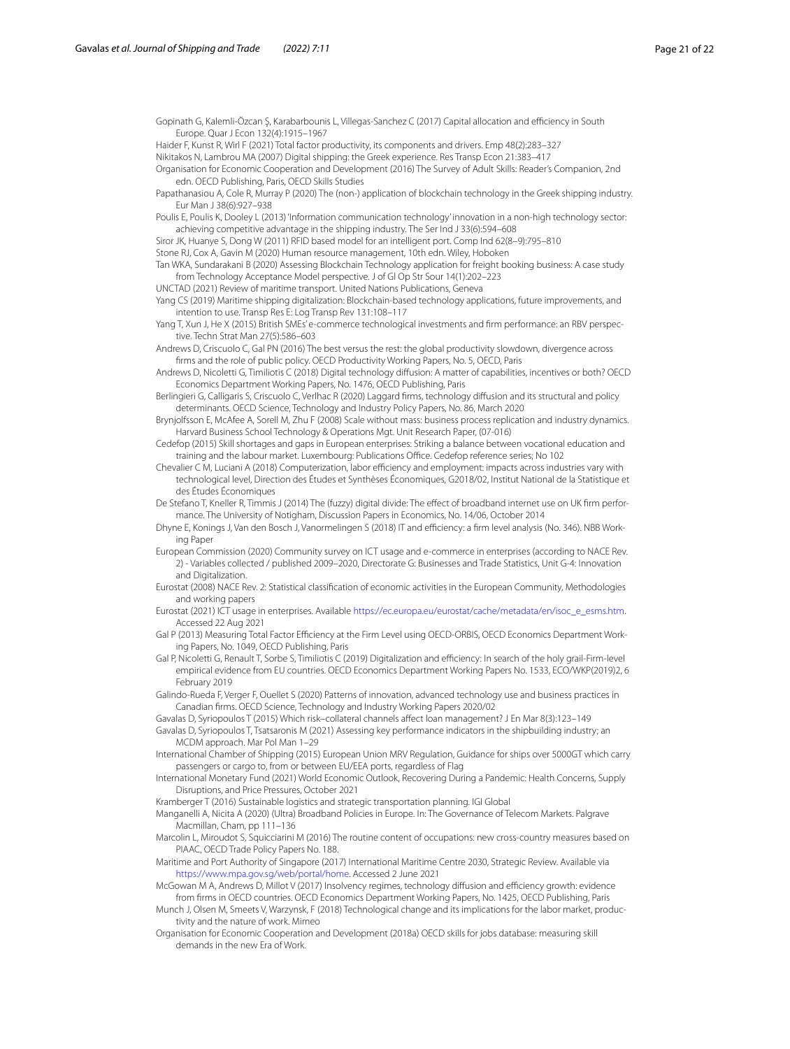<span id="page-20-24"></span>Gopinath G, Kalemli-Özcan Ş, Karabarbounis L, Villegas-Sanchez C (2017) Capital allocation and efciency in South Europe. Quar J Econ 132(4):1915–1967

<span id="page-20-26"></span>Haider F, Kunst R, Wirl F (2021) Total factor productivity, its components and drivers. Emp 48(2):283–327

<span id="page-20-9"></span>Nikitakos N, Lambrou MA (2007) Digital shipping: the Greek experience. Res Transp Econ 21:383–417

Organisation for Economic Cooperation and Development (2016) The Survey of Adult Skills: Reader's Companion, 2nd edn. OECD Publishing, Paris, OECD Skills Studies

- <span id="page-20-10"></span>Papathanasiou A, Cole R, Murray P (2020) The (non-) application of blockchain technology in the Greek shipping industry. Eur Man J 38(6):927–938
- <span id="page-20-7"></span>Poulis E, Poulis K, Dooley L (2013) 'Information communication technology' innovation in a non-high technology sector: achieving competitive advantage in the shipping industry. The Ser Ind J 33(6):594–608
- <span id="page-20-8"></span>Siror JK, Huanye S, Dong W (2011) RFID based model for an intelligent port. Comp Ind 62(8–9):795–810

<span id="page-20-16"></span>Stone RJ, Cox A, Gavin M (2020) Human resource management, 10th edn. Wiley, Hoboken

<span id="page-20-12"></span>Tan WKA, Sundarakani B (2020) Assessing Blockchain Technology application for freight booking business: A case study from Technology Acceptance Model perspective. J of Gl Op Str Sour 14(1):202–223

<span id="page-20-15"></span>UNCTAD (2021) Review of maritime transport. United Nations Publications, Geneva

<span id="page-20-11"></span>Yang CS (2019) Maritime shipping digitalization: Blockchain-based technology applications, future improvements, and intention to use. Transp Res E: Log Transp Rev 131:108–117

<span id="page-20-33"></span>Yang T, Xun J, He X (2015) British SMEs' e-commerce technological investments and firm performance: an RBV perspective. Techn Strat Man 27(5):586–603

<span id="page-20-27"></span>Andrews D, Criscuolo C, Gal PN (2016) The best versus the rest: the global productivity slowdown, divergence across frms and the role of public policy. OECD Productivity Working Papers, No. 5, OECD, Paris

<span id="page-20-20"></span>Andrews D, Nicoletti G, Timiliotis C (2018) Digital technology difusion: A matter of capabilities, incentives or both? OECD Economics Department Working Papers, No. 1476, OECD Publishing, Paris

<span id="page-20-18"></span>Berlingieri G, Calligaris S, Criscuolo C, Verlhac R (2020) Laggard frms, technology difusion and its structural and policy determinants. OECD Science, Technology and Industry Policy Papers, No. 86, March 2020

<span id="page-20-1"></span>Brynjolfsson E, McAfee A, Sorell M, Zhu F (2008) Scale without mass: business process replication and industry dynamics. Harvard Business School Technology & Operations Mgt. Unit Research Paper, (07-016)

<span id="page-20-30"></span>Cedefop (2015) Skill shortages and gaps in European enterprises: Striking a balance between vocational education and training and the labour market. Luxembourg: Publications Office. Cedefop reference series; No 102

<span id="page-20-29"></span>Chevalier C M, Luciani A (2018) Computerization, labor efficiency and employment: impacts across industries vary with technological level, Direction des Études et Synthèses Économiques, G2018/02, Institut National de la Statistique et des Études Économiques

<span id="page-20-4"></span>De Stefano T, Kneller R, Timmis J (2014) The (fuzzy) digital divide: The efect of broadband internet use on UK frm performance. The University of Notigham, Discussion Papers in Economics, No. 14/06, October 2014

<span id="page-20-31"></span>Dhyne E, Konings J, Van den Bosch J, Vanormelingen S (2018) IT and efficiency: a firm level analysis (No. 346). NBB Working Paper

<span id="page-20-22"></span>European Commission (2020) Community survey on ICT usage and e-commerce in enterprises (according to NACE Rev. 2) - Variables collected / published 2009–2020, Directorate G: Businesses and Trade Statistics, Unit G-4: Innovation and Digitalization.

- <span id="page-20-0"></span>Eurostat (2008) NACE Rev. 2: Statistical classifcation of economic activities in the European Community, Methodologies and working papers
- <span id="page-20-21"></span>Eurostat (2021) ICT usage in enterprises. Available [https://ec.europa.eu/eurostat/cache/metadata/en/isoc\\_e\\_esms.htm.](https://ec.europa.eu/eurostat/cache/metadata/en/isoc_e_esms.htm) Accessed 22 Aug 2021
- <span id="page-20-23"></span>Gal P (2013) Measuring Total Factor Efficiency at the Firm Level using OECD-ORBIS, OECD Economics Department Working Papers, No. 1049, OECD Publishing, Paris
- <span id="page-20-17"></span>Gal P, Nicoletti G, Renault T, Sorbe S, Timiliotis C (2019) Digitalization and efciency: In search of the holy grail-Firm-level empirical evidence from EU countries. OECD Economics Department Working Papers No. 1533, ECO/WKP(2019)2, 6 February 2019

<span id="page-20-3"></span>Galindo-Rueda F, Verger F, Ouellet S (2020) Patterns of innovation, advanced technology use and business practices in Canadian frms. OECD Science, Technology and Industry Working Papers 2020/02

<span id="page-20-6"></span>Gavalas D, Syriopoulos T (2015) Which risk–collateral channels afect loan management? J En Mar 8(3):123–149

<span id="page-20-5"></span>Gavalas D, Syriopoulos T, Tsatsaronis M (2021) Assessing key performance indicators in the shipbuilding industry; an MCDM approach. Mar Pol Man 1–29

International Chamber of Shipping (2015) European Union MRV Regulation, Guidance for ships over 5000GT which carry passengers or cargo to, from or between EU/EEA ports, regardless of Flag

<span id="page-20-13"></span>International Monetary Fund (2021) World Economic Outlook, Recovering During a Pandemic: Health Concerns, Supply Disruptions, and Price Pressures, October 2021

<span id="page-20-14"></span>Kramberger T (2016) Sustainable logistics and strategic transportation planning. IGI Global

<span id="page-20-32"></span>Manganelli A, Nicita A (2020) (Ultra) Broadband Policies in Europe. In: The Governance of Telecom Markets. Palgrave Macmillan, Cham, pp 111–136

<span id="page-20-28"></span>Marcolin L, Miroudot S, Squicciarini M (2016) The routine content of occupations: new cross-country measures based on PIAAC, OECD Trade Policy Papers No. 188.

<span id="page-20-25"></span>Maritime and Port Authority of Singapore (2017) International Maritime Centre 2030, Strategic Review. Available via <https://www.mpa.gov.sg/web/portal/home>. Accessed 2 June 2021

<span id="page-20-19"></span>McGowan M A, Andrews D, Millot V (2017) Insolvency regimes, technology diffusion and efficiency growth: evidence from frms in OECD countries. OECD Economics Department Working Papers, No. 1425, OECD Publishing, Paris

<span id="page-20-2"></span>Munch J, Olsen M, Smeets V, Warzynsk, F (2018) Technological change and its implications for the labor market, productivity and the nature of work. Mimeo

Organisation for Economic Cooperation and Development (2018a) OECD skills for jobs database: measuring skill demands in the new Era of Work.